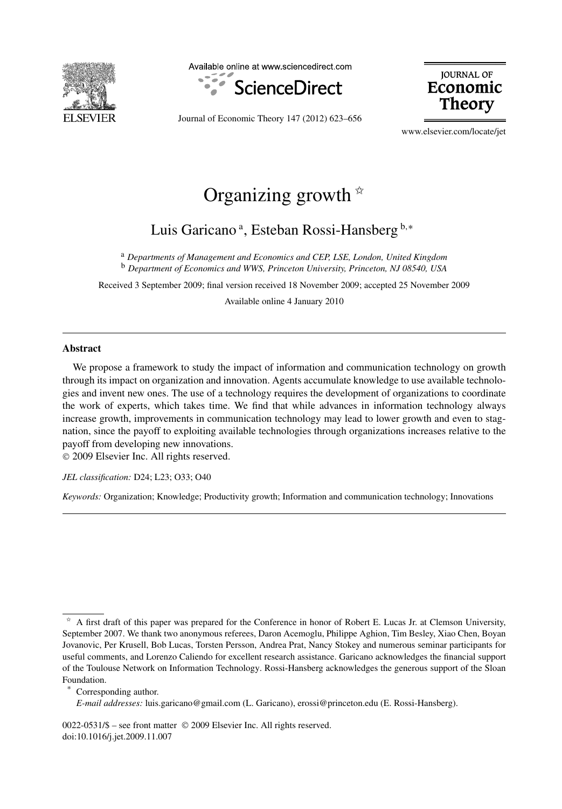

Available online at www.sciencedirect.com



**JOURNAL OF** Economic Theory

Journal of Economic Theory 147 (2012) 623–656

www.elsevier.com/locate/jet

# Organizing growth  $\dot{x}$

Luis Garicano<sup>a</sup>, Esteban Rossi-Hansberg<sup>b,∗</sup>

<sup>a</sup> *Departments of Management and Economics and CEP, LSE, London, United Kingdom* <sup>b</sup> *Department of Economics and WWS, Princeton University, Princeton, NJ 08540, USA*

Received 3 September 2009; final version received 18 November 2009; accepted 25 November 2009

Available online 4 January 2010

#### **Abstract**

We propose a framework to study the impact of information and communication technology on growth through its impact on organization and innovation. Agents accumulate knowledge to use available technologies and invent new ones. The use of a technology requires the development of organizations to coordinate the work of experts, which takes time. We find that while advances in information technology always increase growth, improvements in communication technology may lead to lower growth and even to stagnation, since the payoff to exploiting available technologies through organizations increases relative to the payoff from developing new innovations.

© 2009 Elsevier Inc. All rights reserved.

*JEL classification:* D24; L23; O33; O40

*Keywords:* Organization; Knowledge; Productivity growth; Information and communication technology; Innovations

0022-0531/\$ – see front matter © 2009 Elsevier Inc. All rights reserved. doi:10.1016/j.jet.2009.11.007

<sup>✩</sup> A first draft of this paper was prepared for the Conference in honor of Robert E. Lucas Jr. at Clemson University, September 2007. We thank two anonymous referees, Daron Acemoglu, Philippe Aghion, Tim Besley, Xiao Chen, Boyan Jovanovic, Per Krusell, Bob Lucas, Torsten Persson, Andrea Prat, Nancy Stokey and numerous seminar participants for useful comments, and Lorenzo Caliendo for excellent research assistance. Garicano acknowledges the financial support of the Toulouse Network on Information Technology. Rossi-Hansberg acknowledges the generous support of the Sloan Foundation.

Corresponding author.

*E-mail addresses:* luis.garicano@gmail.com (L. Garicano), erossi@princeton.edu (E. Rossi-Hansberg).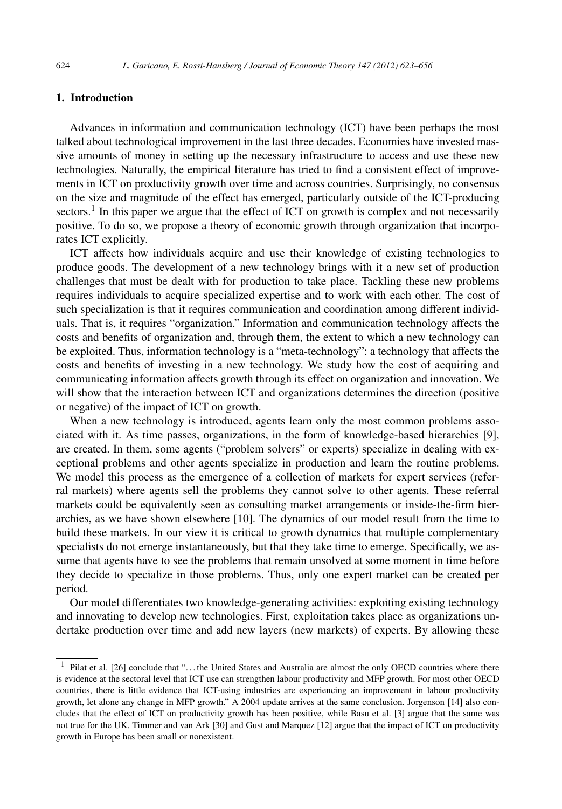# **1. Introduction**

Advances in information and communication technology (ICT) have been perhaps the most talked about technological improvement in the last three decades. Economies have invested massive amounts of money in setting up the necessary infrastructure to access and use these new technologies. Naturally, the empirical literature has tried to find a consistent effect of improvements in ICT on productivity growth over time and across countries. Surprisingly, no consensus on the size and magnitude of the effect has emerged, particularly outside of the ICT-producing sectors.<sup>1</sup> In this paper we argue that the effect of ICT on growth is complex and not necessarily positive. To do so, we propose a theory of economic growth through organization that incorporates ICT explicitly.

ICT affects how individuals acquire and use their knowledge of existing technologies to produce goods. The development of a new technology brings with it a new set of production challenges that must be dealt with for production to take place. Tackling these new problems requires individuals to acquire specialized expertise and to work with each other. The cost of such specialization is that it requires communication and coordination among different individuals. That is, it requires "organization." Information and communication technology affects the costs and benefits of organization and, through them, the extent to which a new technology can be exploited. Thus, information technology is a "meta-technology": a technology that affects the costs and benefits of investing in a new technology. We study how the cost of acquiring and communicating information affects growth through its effect on organization and innovation. We will show that the interaction between ICT and organizations determines the direction (positive or negative) of the impact of ICT on growth.

When a new technology is introduced, agents learn only the most common problems associated with it. As time passes, organizations, in the form of knowledge-based hierarchies [9], are created. In them, some agents ("problem solvers" or experts) specialize in dealing with exceptional problems and other agents specialize in production and learn the routine problems. We model this process as the emergence of a collection of markets for expert services (referral markets) where agents sell the problems they cannot solve to other agents. These referral markets could be equivalently seen as consulting market arrangements or inside-the-firm hierarchies, as we have shown elsewhere [10]. The dynamics of our model result from the time to build these markets. In our view it is critical to growth dynamics that multiple complementary specialists do not emerge instantaneously, but that they take time to emerge. Specifically, we assume that agents have to see the problems that remain unsolved at some moment in time before they decide to specialize in those problems. Thus, only one expert market can be created per period.

Our model differentiates two knowledge-generating activities: exploiting existing technology and innovating to develop new technologies. First, exploitation takes place as organizations undertake production over time and add new layers (new markets) of experts. By allowing these

 $1$  Pilat et al. [26] conclude that "... the United States and Australia are almost the only OECD countries where there is evidence at the sectoral level that ICT use can strengthen labour productivity and MFP growth. For most other OECD countries, there is little evidence that ICT-using industries are experiencing an improvement in labour productivity growth, let alone any change in MFP growth." A 2004 update arrives at the same conclusion. Jorgenson [14] also concludes that the effect of ICT on productivity growth has been positive, while Basu et al. [3] argue that the same was not true for the UK. Timmer and van Ark [30] and Gust and Marquez [12] argue that the impact of ICT on productivity growth in Europe has been small or nonexistent.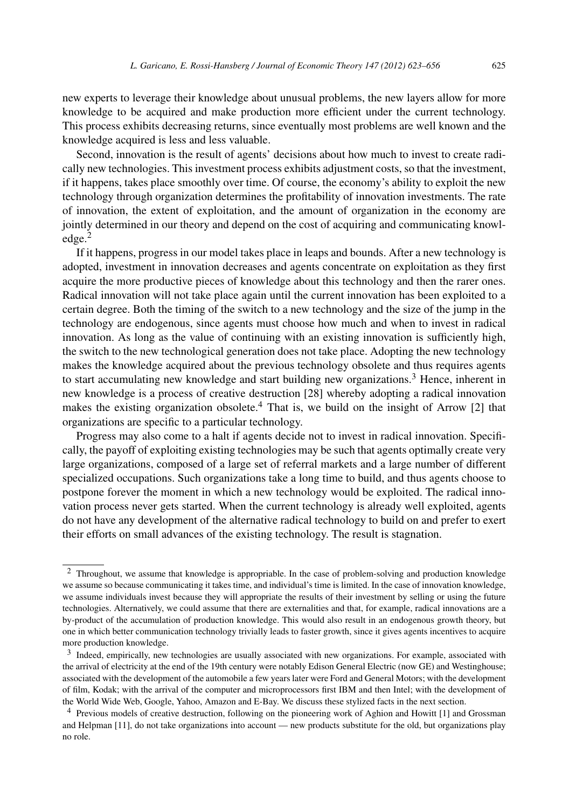new experts to leverage their knowledge about unusual problems, the new layers allow for more knowledge to be acquired and make production more efficient under the current technology. This process exhibits decreasing returns, since eventually most problems are well known and the knowledge acquired is less and less valuable.

Second, innovation is the result of agents' decisions about how much to invest to create radically new technologies. This investment process exhibits adjustment costs, so that the investment, if it happens, takes place smoothly over time. Of course, the economy's ability to exploit the new technology through organization determines the profitability of innovation investments. The rate of innovation, the extent of exploitation, and the amount of organization in the economy are jointly determined in our theory and depend on the cost of acquiring and communicating knowl $edge.<sup>2</sup>$ 

If it happens, progress in our model takes place in leaps and bounds. After a new technology is adopted, investment in innovation decreases and agents concentrate on exploitation as they first acquire the more productive pieces of knowledge about this technology and then the rarer ones. Radical innovation will not take place again until the current innovation has been exploited to a certain degree. Both the timing of the switch to a new technology and the size of the jump in the technology are endogenous, since agents must choose how much and when to invest in radical innovation. As long as the value of continuing with an existing innovation is sufficiently high, the switch to the new technological generation does not take place. Adopting the new technology makes the knowledge acquired about the previous technology obsolete and thus requires agents to start accumulating new knowledge and start building new organizations.<sup>3</sup> Hence, inherent in new knowledge is a process of creative destruction [28] whereby adopting a radical innovation makes the existing organization obsolete.<sup>4</sup> That is, we build on the insight of Arrow [2] that organizations are specific to a particular technology.

Progress may also come to a halt if agents decide not to invest in radical innovation. Specifically, the payoff of exploiting existing technologies may be such that agents optimally create very large organizations, composed of a large set of referral markets and a large number of different specialized occupations. Such organizations take a long time to build, and thus agents choose to postpone forever the moment in which a new technology would be exploited. The radical innovation process never gets started. When the current technology is already well exploited, agents do not have any development of the alternative radical technology to build on and prefer to exert their efforts on small advances of the existing technology. The result is stagnation.

<sup>&</sup>lt;sup>2</sup> Throughout, we assume that knowledge is appropriable. In the case of problem-solving and production knowledge we assume so because communicating it takes time, and individual's time is limited. In the case of innovation knowledge, we assume individuals invest because they will appropriate the results of their investment by selling or using the future technologies. Alternatively, we could assume that there are externalities and that, for example, radical innovations are a by-product of the accumulation of production knowledge. This would also result in an endogenous growth theory, but one in which better communication technology trivially leads to faster growth, since it gives agents incentives to acquire more production knowledge.

<sup>3</sup> Indeed, empirically, new technologies are usually associated with new organizations. For example, associated with the arrival of electricity at the end of the 19th century were notably Edison General Electric (now GE) and Westinghouse; associated with the development of the automobile a few years later were Ford and General Motors; with the development of film, Kodak; with the arrival of the computer and microprocessors first IBM and then Intel; with the development of the World Wide Web, Google, Yahoo, Amazon and E-Bay. We discuss these stylized facts in the next section.

<sup>4</sup> Previous models of creative destruction, following on the pioneering work of Aghion and Howitt [1] and Grossman and Helpman [11], do not take organizations into account — new products substitute for the old, but organizations play no role.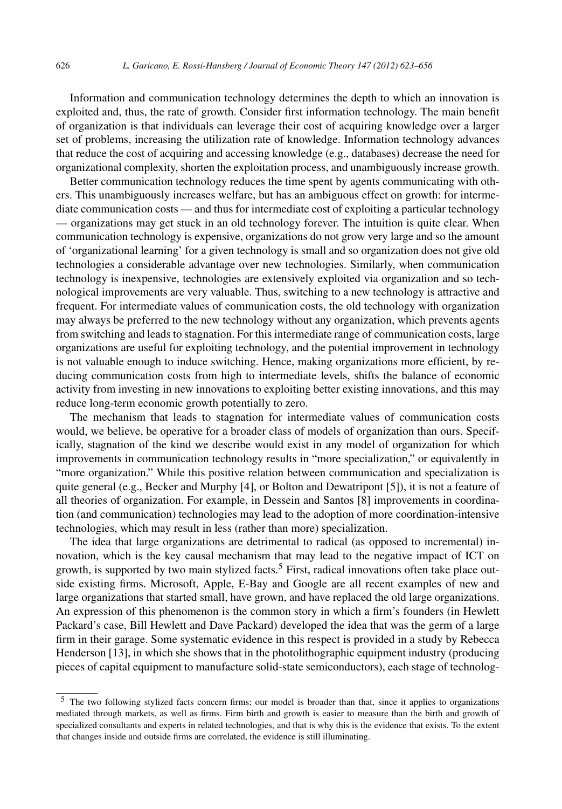Information and communication technology determines the depth to which an innovation is exploited and, thus, the rate of growth. Consider first information technology. The main benefit of organization is that individuals can leverage their cost of acquiring knowledge over a larger set of problems, increasing the utilization rate of knowledge. Information technology advances that reduce the cost of acquiring and accessing knowledge (e.g., databases) decrease the need for organizational complexity, shorten the exploitation process, and unambiguously increase growth.

Better communication technology reduces the time spent by agents communicating with others. This unambiguously increases welfare, but has an ambiguous effect on growth: for intermediate communication costs — and thus for intermediate cost of exploiting a particular technology — organizations may get stuck in an old technology forever. The intuition is quite clear. When communication technology is expensive, organizations do not grow very large and so the amount of 'organizational learning' for a given technology is small and so organization does not give old technologies a considerable advantage over new technologies. Similarly, when communication technology is inexpensive, technologies are extensively exploited via organization and so technological improvements are very valuable. Thus, switching to a new technology is attractive and frequent. For intermediate values of communication costs, the old technology with organization may always be preferred to the new technology without any organization, which prevents agents from switching and leads to stagnation. For this intermediate range of communication costs, large organizations are useful for exploiting technology, and the potential improvement in technology is not valuable enough to induce switching. Hence, making organizations more efficient, by reducing communication costs from high to intermediate levels, shifts the balance of economic activity from investing in new innovations to exploiting better existing innovations, and this may reduce long-term economic growth potentially to zero.

The mechanism that leads to stagnation for intermediate values of communication costs would, we believe, be operative for a broader class of models of organization than ours. Specifically, stagnation of the kind we describe would exist in any model of organization for which improvements in communication technology results in "more specialization," or equivalently in "more organization." While this positive relation between communication and specialization is quite general (e.g., Becker and Murphy [4], or Bolton and Dewatripont [5]), it is not a feature of all theories of organization. For example, in Dessein and Santos [8] improvements in coordination (and communication) technologies may lead to the adoption of more coordination-intensive technologies, which may result in less (rather than more) specialization.

The idea that large organizations are detrimental to radical (as opposed to incremental) innovation, which is the key causal mechanism that may lead to the negative impact of ICT on growth, is supported by two main stylized facts.<sup>5</sup> First, radical innovations often take place outside existing firms. Microsoft, Apple, E-Bay and Google are all recent examples of new and large organizations that started small, have grown, and have replaced the old large organizations. An expression of this phenomenon is the common story in which a firm's founders (in Hewlett Packard's case, Bill Hewlett and Dave Packard) developed the idea that was the germ of a large firm in their garage. Some systematic evidence in this respect is provided in a study by Rebecca Henderson [13], in which she shows that in the photolithographic equipment industry (producing pieces of capital equipment to manufacture solid-state semiconductors), each stage of technolog-

<sup>5</sup> The two following stylized facts concern firms; our model is broader than that, since it applies to organizations mediated through markets, as well as firms. Firm birth and growth is easier to measure than the birth and growth of specialized consultants and experts in related technologies, and that is why this is the evidence that exists. To the extent that changes inside and outside firms are correlated, the evidence is still illuminating.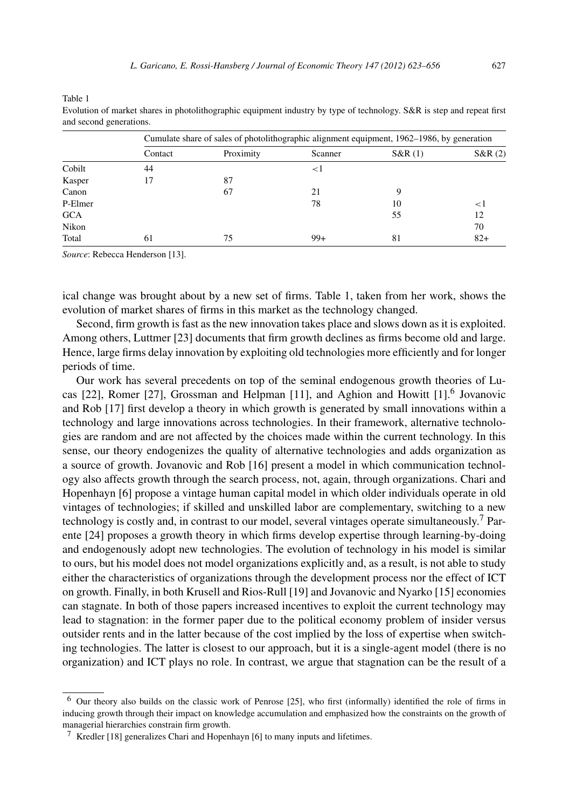Table 1

Evolution of market shares in photolithographic equipment industry by type of technology. S&R is step and repeat first and second generations.

|            | Cumulate share of sales of photolithographic alignment equipment, 1962–1986, by generation |           |          |        |          |
|------------|--------------------------------------------------------------------------------------------|-----------|----------|--------|----------|
|            | Contact                                                                                    | Proximity | Scanner  | S&R(1) | S&R(2)   |
| Cobilt     | 44                                                                                         |           | $\leq$ 1 |        |          |
| Kasper     | 17                                                                                         | 87        |          |        |          |
| Canon      |                                                                                            | 67        | 21       | 9      |          |
| P-Elmer    |                                                                                            |           | 78       | 10     | $\leq$ 1 |
| <b>GCA</b> |                                                                                            |           |          | 55     | 12       |
| Nikon      |                                                                                            |           |          |        | 70       |
| Total      | 61                                                                                         | 75        | $99+$    | 81     | $82+$    |

*Source*: Rebecca Henderson [13].

ical change was brought about by a new set of firms. Table 1, taken from her work, shows the evolution of market shares of firms in this market as the technology changed.

Second, firm growth is fast as the new innovation takes place and slows down as it is exploited. Among others, Luttmer [23] documents that firm growth declines as firms become old and large. Hence, large firms delay innovation by exploiting old technologies more efficiently and for longer periods of time.

Our work has several precedents on top of the seminal endogenous growth theories of Lucas [22], Romer [27], Grossman and Helpman [11], and Aghion and Howitt  $[1]$ .<sup>6</sup> Jovanovic and Rob [17] first develop a theory in which growth is generated by small innovations within a technology and large innovations across technologies. In their framework, alternative technologies are random and are not affected by the choices made within the current technology. In this sense, our theory endogenizes the quality of alternative technologies and adds organization as a source of growth. Jovanovic and Rob [16] present a model in which communication technology also affects growth through the search process, not, again, through organizations. Chari and Hopenhayn [6] propose a vintage human capital model in which older individuals operate in old vintages of technologies; if skilled and unskilled labor are complementary, switching to a new technology is costly and, in contrast to our model, several vintages operate simultaneously.7 Parente [24] proposes a growth theory in which firms develop expertise through learning-by-doing and endogenously adopt new technologies. The evolution of technology in his model is similar to ours, but his model does not model organizations explicitly and, as a result, is not able to study either the characteristics of organizations through the development process nor the effect of ICT on growth. Finally, in both Krusell and Rios-Rull [19] and Jovanovic and Nyarko [15] economies can stagnate. In both of those papers increased incentives to exploit the current technology may lead to stagnation: in the former paper due to the political economy problem of insider versus outsider rents and in the latter because of the cost implied by the loss of expertise when switching technologies. The latter is closest to our approach, but it is a single-agent model (there is no organization) and ICT plays no role. In contrast, we argue that stagnation can be the result of a

 $6$  Our theory also builds on the classic work of Penrose [25], who first (informally) identified the role of firms in inducing growth through their impact on knowledge accumulation and emphasized how the constraints on the growth of managerial hierarchies constrain firm growth.

<sup>7</sup> Kredler [18] generalizes Chari and Hopenhayn [6] to many inputs and lifetimes.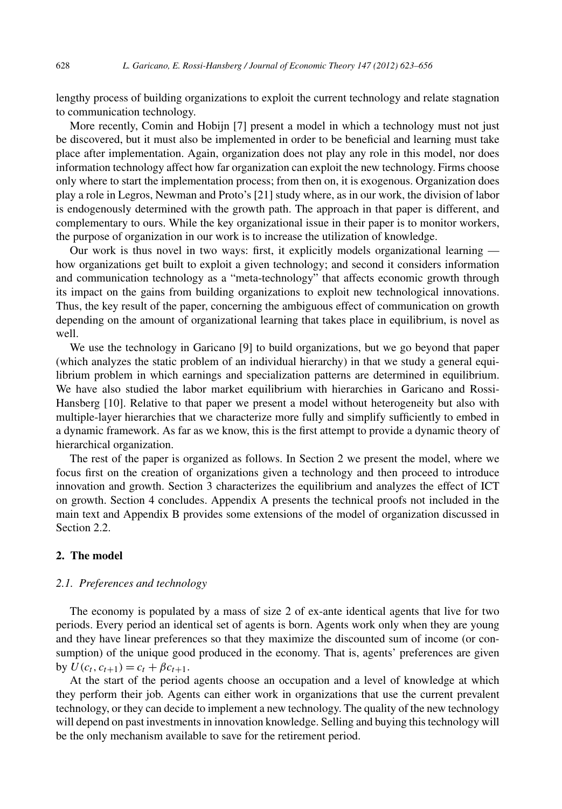lengthy process of building organizations to exploit the current technology and relate stagnation to communication technology.

More recently, Comin and Hobijn [7] present a model in which a technology must not just be discovered, but it must also be implemented in order to be beneficial and learning must take place after implementation. Again, organization does not play any role in this model, nor does information technology affect how far organization can exploit the new technology. Firms choose only where to start the implementation process; from then on, it is exogenous. Organization does play a role in Legros, Newman and Proto's [21] study where, as in our work, the division of labor is endogenously determined with the growth path. The approach in that paper is different, and complementary to ours. While the key organizational issue in their paper is to monitor workers, the purpose of organization in our work is to increase the utilization of knowledge.

Our work is thus novel in two ways: first, it explicitly models organizational learning how organizations get built to exploit a given technology; and second it considers information and communication technology as a "meta-technology" that affects economic growth through its impact on the gains from building organizations to exploit new technological innovations. Thus, the key result of the paper, concerning the ambiguous effect of communication on growth depending on the amount of organizational learning that takes place in equilibrium, is novel as well.

We use the technology in Garicano [9] to build organizations, but we go beyond that paper (which analyzes the static problem of an individual hierarchy) in that we study a general equilibrium problem in which earnings and specialization patterns are determined in equilibrium. We have also studied the labor market equilibrium with hierarchies in Garicano and Rossi-Hansberg [10]. Relative to that paper we present a model without heterogeneity but also with multiple-layer hierarchies that we characterize more fully and simplify sufficiently to embed in a dynamic framework. As far as we know, this is the first attempt to provide a dynamic theory of hierarchical organization.

The rest of the paper is organized as follows. In Section 2 we present the model, where we focus first on the creation of organizations given a technology and then proceed to introduce innovation and growth. Section 3 characterizes the equilibrium and analyzes the effect of ICT on growth. Section 4 concludes. Appendix A presents the technical proofs not included in the main text and Appendix B provides some extensions of the model of organization discussed in Section 2.2.

## **2. The model**

#### *2.1. Preferences and technology*

The economy is populated by a mass of size 2 of ex-ante identical agents that live for two periods. Every period an identical set of agents is born. Agents work only when they are young and they have linear preferences so that they maximize the discounted sum of income (or consumption) of the unique good produced in the economy. That is, agents' preferences are given  $\text{by } U(c_t, c_{t+1}) = c_t + \beta c_{t+1}.$ 

At the start of the period agents choose an occupation and a level of knowledge at which they perform their job. Agents can either work in organizations that use the current prevalent technology, or they can decide to implement a new technology. The quality of the new technology will depend on past investments in innovation knowledge. Selling and buying this technology will be the only mechanism available to save for the retirement period.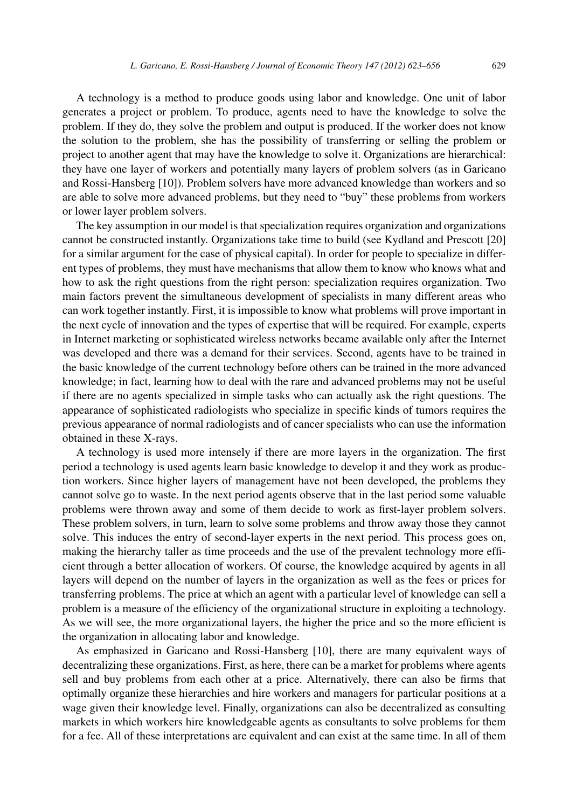A technology is a method to produce goods using labor and knowledge. One unit of labor generates a project or problem. To produce, agents need to have the knowledge to solve the problem. If they do, they solve the problem and output is produced. If the worker does not know the solution to the problem, she has the possibility of transferring or selling the problem or project to another agent that may have the knowledge to solve it. Organizations are hierarchical: they have one layer of workers and potentially many layers of problem solvers (as in Garicano and Rossi-Hansberg [10]). Problem solvers have more advanced knowledge than workers and so are able to solve more advanced problems, but they need to "buy" these problems from workers or lower layer problem solvers.

The key assumption in our model is that specialization requires organization and organizations cannot be constructed instantly. Organizations take time to build (see Kydland and Prescott [20] for a similar argument for the case of physical capital). In order for people to specialize in different types of problems, they must have mechanisms that allow them to know who knows what and how to ask the right questions from the right person: specialization requires organization. Two main factors prevent the simultaneous development of specialists in many different areas who can work together instantly. First, it is impossible to know what problems will prove important in the next cycle of innovation and the types of expertise that will be required. For example, experts in Internet marketing or sophisticated wireless networks became available only after the Internet was developed and there was a demand for their services. Second, agents have to be trained in the basic knowledge of the current technology before others can be trained in the more advanced knowledge; in fact, learning how to deal with the rare and advanced problems may not be useful if there are no agents specialized in simple tasks who can actually ask the right questions. The appearance of sophisticated radiologists who specialize in specific kinds of tumors requires the previous appearance of normal radiologists and of cancer specialists who can use the information obtained in these X-rays.

A technology is used more intensely if there are more layers in the organization. The first period a technology is used agents learn basic knowledge to develop it and they work as production workers. Since higher layers of management have not been developed, the problems they cannot solve go to waste. In the next period agents observe that in the last period some valuable problems were thrown away and some of them decide to work as first-layer problem solvers. These problem solvers, in turn, learn to solve some problems and throw away those they cannot solve. This induces the entry of second-layer experts in the next period. This process goes on, making the hierarchy taller as time proceeds and the use of the prevalent technology more efficient through a better allocation of workers. Of course, the knowledge acquired by agents in all layers will depend on the number of layers in the organization as well as the fees or prices for transferring problems. The price at which an agent with a particular level of knowledge can sell a problem is a measure of the efficiency of the organizational structure in exploiting a technology. As we will see, the more organizational layers, the higher the price and so the more efficient is the organization in allocating labor and knowledge.

As emphasized in Garicano and Rossi-Hansberg [10], there are many equivalent ways of decentralizing these organizations. First, as here, there can be a market for problems where agents sell and buy problems from each other at a price. Alternatively, there can also be firms that optimally organize these hierarchies and hire workers and managers for particular positions at a wage given their knowledge level. Finally, organizations can also be decentralized as consulting markets in which workers hire knowledgeable agents as consultants to solve problems for them for a fee. All of these interpretations are equivalent and can exist at the same time. In all of them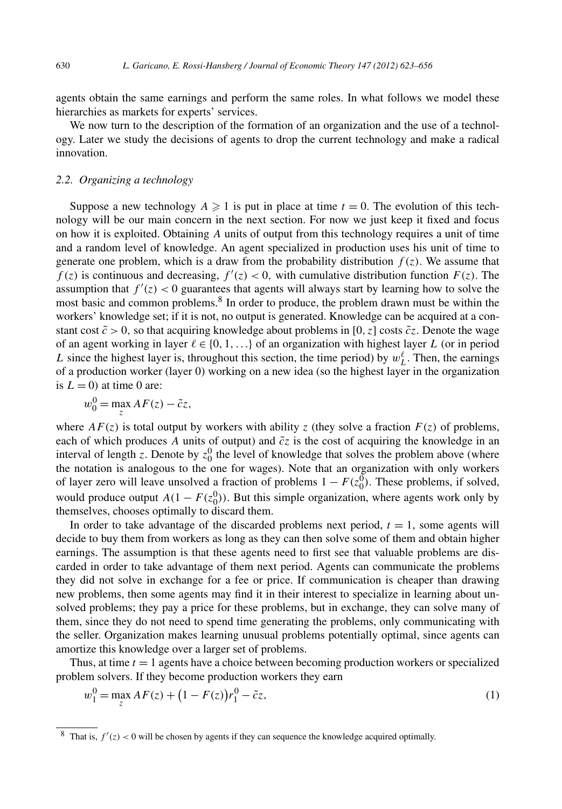agents obtain the same earnings and perform the same roles. In what follows we model these hierarchies as markets for experts' services.

We now turn to the description of the formation of an organization and the use of a technology. Later we study the decisions of agents to drop the current technology and make a radical innovation.

## *2.2. Organizing a technology*

Suppose a new technology  $A \geq 1$  is put in place at time  $t = 0$ . The evolution of this technology will be our main concern in the next section. For now we just keep it fixed and focus on how it is exploited. Obtaining *A* units of output from this technology requires a unit of time and a random level of knowledge. An agent specialized in production uses his unit of time to generate one problem, which is a draw from the probability distribution  $f(z)$ . We assume that  $f(z)$  is continuous and decreasing,  $f'(z) < 0$ , with cumulative distribution function  $F(z)$ . The assumption that  $f'(z) < 0$  guarantees that agents will always start by learning how to solve the most basic and common problems. $8 \text{ In order to produce, the problem drawn must be within the}$ workers' knowledge set; if it is not, no output is generated. Knowledge can be acquired at a constant cost  $\tilde{c} > 0$ , so that acquiring knowledge about problems in [0, *z*] costs  $\tilde{c}z$ . Denote the wage of an agent working in layer  $\ell \in \{0, 1, \ldots\}$  of an organization with highest layer L (or in period *L* since the highest layer is, throughout this section, the time period) by  $w<sub>L</sub><sup>\ell</sup>$ . Then, the earnings of a production worker (layer 0) working on a new idea (so the highest layer in the organization is  $L = 0$  at time 0 are:

$$
w_0^0 = \max_z AF(z) - \tilde{c}z,
$$

where  $AF(z)$  is total output by workers with ability *z* (they solve a fraction  $F(z)$  of problems, each of which produces  $A$  units of output) and  $\tilde{c}z$  is the cost of acquiring the knowledge in an interval of length *z*. Denote by  $z_0^0$  the level of knowledge that solves the problem above (where the notation is analogous to the one for wages). Note that an organization with only workers of layer zero will leave unsolved a fraction of problems  $1 - F(z_0^0)$ . These problems, if solved, would produce output  $A(1 - F(z_0^0))$ . But this simple organization, where agents work only by themselves, chooses optimally to discard them.

In order to take advantage of the discarded problems next period,  $t = 1$ , some agents will decide to buy them from workers as long as they can then solve some of them and obtain higher earnings. The assumption is that these agents need to first see that valuable problems are discarded in order to take advantage of them next period. Agents can communicate the problems they did not solve in exchange for a fee or price. If communication is cheaper than drawing new problems, then some agents may find it in their interest to specialize in learning about unsolved problems; they pay a price for these problems, but in exchange, they can solve many of them, since they do not need to spend time generating the problems, only communicating with the seller. Organization makes learning unusual problems potentially optimal, since agents can amortize this knowledge over a larger set of problems.

Thus, at time *t* = 1 agents have a choice between becoming production workers or specialized problem solvers. If they become production workers they earn

$$
w_1^0 = \max_{z} AF(z) + (1 - F(z))r_1^0 - \tilde{c}z,
$$
\n(1)

<sup>&</sup>lt;sup>8</sup> That is,  $f'(z) < 0$  will be chosen by agents if they can sequence the knowledge acquired optimally.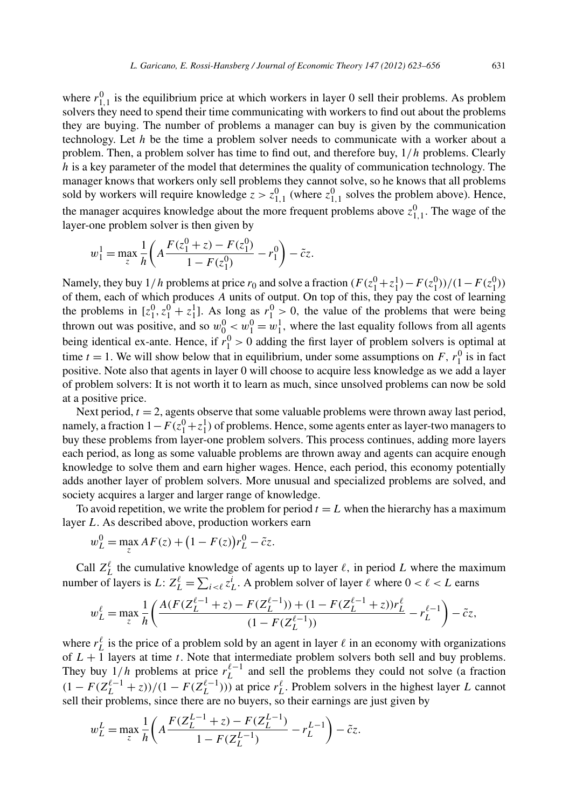where  $r_{1,1}^0$  is the equilibrium price at which workers in layer 0 sell their problems. As problem solvers they need to spend their time communicating with workers to find out about the problems they are buying. The number of problems a manager can buy is given by the communication technology. Let *h* be the time a problem solver needs to communicate with a worker about a problem. Then, a problem solver has time to find out, and therefore buy, 1*/h* problems. Clearly *h* is a key parameter of the model that determines the quality of communication technology. The manager knows that workers only sell problems they cannot solve, so he knows that all problems sold by workers will require knowledge  $z > z_{1,1}^0$  (where  $z_{1,1}^0$  solves the problem above). Hence, the manager acquires knowledge about the more frequent problems above  $z_{1,1}^0$ . The wage of the layer-one problem solver is then given by

$$
w_1^1 = \max_{z} \frac{1}{h} \left( A \frac{F(z_1^0 + z) - F(z_1^0)}{1 - F(z_1^0)} - r_1^0 \right) - \tilde{c}z.
$$

Namely, they buy 1/*h* problems at price *r*<sub>0</sub> and solve a fraction  $(F(z_1^0 + z_1^1) - F(z_1^0))/(1 - F(z_1^0))$ of them, each of which produces *A* units of output. On top of this, they pay the cost of learning the problems in  $[z_1^0, z_1^0 + z_1^1]$ . As long as  $r_1^0 > 0$ , the value of the problems that were being thrown out was positive, and so  $w_0^0 < w_1^0 = w_1^1$ , where the last equality follows from all agents being identical ex-ante. Hence, if  $r_1^0 > 0$  adding the first layer of problem solvers is optimal at time  $t = 1$ . We will show below that in equilibrium, under some assumptions on  $F$ ,  $r_1^0$  is in fact positive. Note also that agents in layer 0 will choose to acquire less knowledge as we add a layer of problem solvers: It is not worth it to learn as much, since unsolved problems can now be sold at a positive price.

Next period,  $t = 2$ , agents observe that some valuable problems were thrown away last period, namely, a fraction  $1 - F(z_1^0 + z_1^1)$  of problems. Hence, some agents enter as layer-two managers to buy these problems from layer-one problem solvers. This process continues, adding more layers each period, as long as some valuable problems are thrown away and agents can acquire enough knowledge to solve them and earn higher wages. Hence, each period, this economy potentially adds another layer of problem solvers. More unusual and specialized problems are solved, and society acquires a larger and larger range of knowledge.

To avoid repetition, we write the problem for period  $t = L$  when the hierarchy has a maximum layer *L*. As described above, production workers earn

$$
w_L^0 = \max_z AF(z) + (1 - F(z))r_L^0 - \tilde{c}z.
$$

Call  $Z_L^{\ell}$  the cumulative knowledge of agents up to layer  $\ell$ , in period *L* where the maximum number of layers is  $L: Z_L^{\ell} = \sum_{i \leq \ell} z_L^i$ . A problem solver of layer  $\ell$  where  $0 < \ell < L$  earns

$$
w_L^{\ell} = \max_{z} \frac{1}{h} \left( \frac{A(F(Z_L^{\ell-1} + z) - F(Z_L^{\ell-1})) + (1 - F(Z_L^{\ell-1} + z))r_L^{\ell}}{(1 - F(Z_L^{\ell-1}))} - r_L^{\ell-1} \right) - \tilde{c}z,
$$

where  $r_L^{\ell}$  is the price of a problem sold by an agent in layer  $\ell$  in an economy with organizations of *L* + 1 layers at time *t*. Note that intermediate problem solvers both sell and buy problems. They buy  $1/h$  problems at price  $r_L^{\ell-1}$  and sell the problems they could not solve (a fraction  $(1 - F(Z_L^{\ell-1} + z))/(1 - F(Z_L^{\ell-1}))$  at price  $r_L^{\ell}$ . Problem solvers in the highest layer *L* cannot sell their problems, since there are no buyers, so their earnings are just given by

$$
w_L^L = \max_{z} \frac{1}{h} \left( A \frac{F(Z_L^{L-1} + z) - F(Z_L^{L-1})}{1 - F(Z_L^{L-1})} - r_L^{L-1} \right) - \tilde{c}z.
$$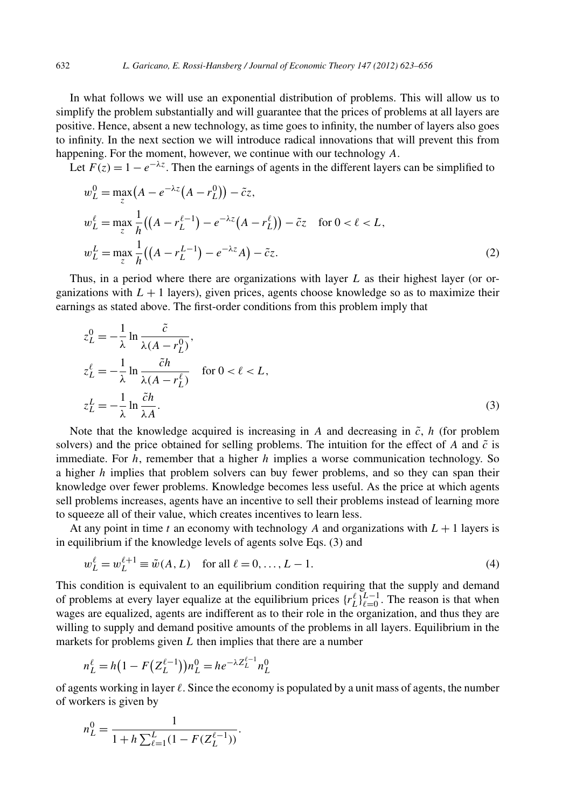In what follows we will use an exponential distribution of problems. This will allow us to simplify the problem substantially and will guarantee that the prices of problems at all layers are positive. Hence, absent a new technology, as time goes to infinity, the number of layers also goes to infinity. In the next section we will introduce radical innovations that will prevent this from happening. For the moment, however, we continue with our technology *A*.

Let  $F(z) = 1 - e^{-\lambda z}$ . Then the earnings of agents in the different layers can be simplified to

$$
w_L^0 = \max_z (A - e^{-\lambda z} (A - r_L^0)) - \tilde{c}z,
$$
  
\n
$$
w_L^{\ell} = \max_z \frac{1}{h} ((A - r_L^{\ell - 1}) - e^{-\lambda z} (A - r_L^{\ell})) - \tilde{c}z \text{ for } 0 < \ell < L,
$$
  
\n
$$
w_L^L = \max_z \frac{1}{h} ((A - r_L^{L - 1}) - e^{-\lambda z} A) - \tilde{c}z.
$$
 (2)

Thus, in a period where there are organizations with layer *L* as their highest layer (or organizations with  $L + 1$  layers), given prices, agents choose knowledge so as to maximize their earnings as stated above. The first-order conditions from this problem imply that

$$
z_L^0 = -\frac{1}{\lambda} \ln \frac{\tilde{c}}{\lambda (A - r_L^0)},
$$
  
\n
$$
z_L^\ell = -\frac{1}{\lambda} \ln \frac{\tilde{c}h}{\lambda (A - r_L^\ell)} \quad \text{for } 0 < \ell < L,
$$
  
\n
$$
z_L^L = -\frac{1}{\lambda} \ln \frac{\tilde{c}h}{\lambda A}.
$$
\n(3)

Note that the knowledge acquired is increasing in *A* and decreasing in  $\tilde{c}$ , *h* (for problem solvers) and the price obtained for selling problems. The intuition for the effect of *A* and  $\tilde{c}$  is immediate. For *h*, remember that a higher *h* implies a worse communication technology. So a higher *h* implies that problem solvers can buy fewer problems, and so they can span their knowledge over fewer problems. Knowledge becomes less useful. As the price at which agents sell problems increases, agents have an incentive to sell their problems instead of learning more to squeeze all of their value, which creates incentives to learn less.

At any point in time *t* an economy with technology *A* and organizations with  $L + 1$  layers is in equilibrium if the knowledge levels of agents solve Eqs. (3) and

$$
w_L^{\ell} = w_L^{\ell+1} \equiv \tilde{w}(A, L) \quad \text{for all } \ell = 0, ..., L - 1.
$$
 (4)

This condition is equivalent to an equilibrium condition requiring that the supply and demand of problems at every layer equalize at the equilibrium prices  $\{r_L^{\ell}\}_{\ell=0}^{L-1}$ . The reason is that when wages are equalized, agents are indifferent as to their role in the organization, and thus they are willing to supply and demand positive amounts of the problems in all layers. Equilibrium in the markets for problems given *L* then implies that there are a number

$$
n_L^{\ell} = h \left( 1 - F \left( Z_L^{\ell - 1} \right) \right) n_L^0 = h e^{-\lambda Z_L^{\ell - 1}} n_L^0
$$

of agents working in layer  $\ell$ . Since the economy is populated by a unit mass of agents, the number of workers is given by

*.*

$$
n_L^0 = \frac{1}{1 + h \sum_{\ell=1}^L (1 - F(Z_L^{\ell-1}))}
$$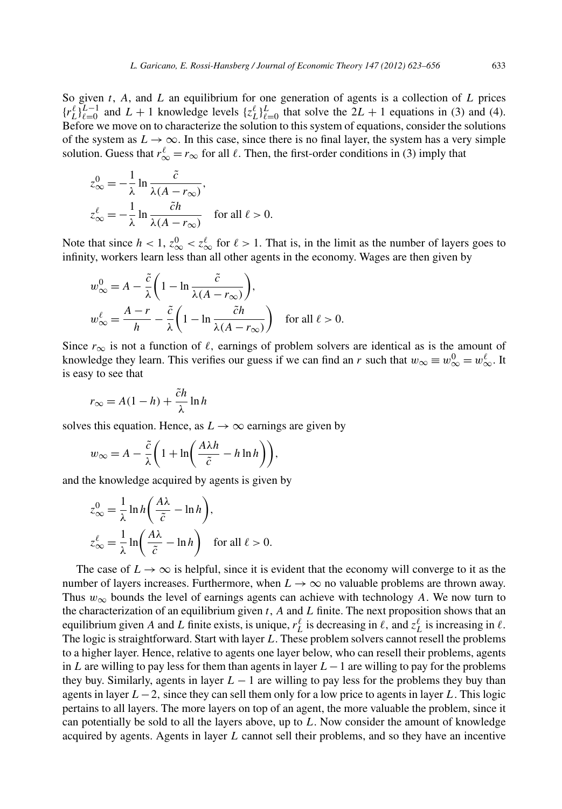So given *t*, *A*, and *L* an equilibrium for one generation of agents is a collection of *L* prices  ${r_L^{\ell}}_{L=0}^{L-1}$  and  $L+1$  knowledge levels  ${z_L^{\ell}}_{L=0}^{L}$  that solve the  $2L+1$  equations in (3) and (4). Before we move on to characterize the solution to this system of equations, consider the solutions of the system as  $L \to \infty$ . In this case, since there is no final layer, the system has a very simple solution. Guess that  $r^{\ell}_{\infty} = r_{\infty}$  for all  $\ell$ . Then, the first-order conditions in (3) imply that

$$
z_{\infty}^{0} = -\frac{1}{\lambda} \ln \frac{\tilde{c}}{\lambda (A - r_{\infty})},
$$
  

$$
z_{\infty}^{\ell} = -\frac{1}{\lambda} \ln \frac{\tilde{c}h}{\lambda (A - r_{\infty})} \quad \text{for all } \ell > 0.
$$

Note that since  $h < 1$ ,  $z_{\infty}^0 < z_{\infty}^{\ell}$  for  $\ell > 1$ . That is, in the limit as the number of layers goes to infinity, workers learn less than all other agents in the economy. Wages are then given by

$$
w_{\infty}^{0} = A - \frac{\tilde{c}}{\lambda} \left( 1 - \ln \frac{\tilde{c}}{\lambda(A - r_{\infty})} \right),
$$
  

$$
w_{\infty}^{\ell} = \frac{A - r}{h} - \frac{\tilde{c}}{\lambda} \left( 1 - \ln \frac{\tilde{c}h}{\lambda(A - r_{\infty})} \right) \quad \text{for all } \ell > 0.
$$

Since  $r_{\infty}$  is not a function of  $\ell$ , earnings of problem solvers are identical as is the amount of knowledge they learn. This verifies our guess if we can find an *r* such that  $w_{\infty} \equiv w_{\infty}^0 = w_{\infty}^{\ell}$ . It is easy to see that

$$
r_{\infty} = A(1 - h) + \frac{\tilde{c}h}{\lambda} \ln h
$$

solves this equation. Hence, as  $L \rightarrow \infty$  earnings are given by

$$
w_{\infty} = A - \frac{\tilde{c}}{\lambda} \bigg( 1 + \ln \bigg( \frac{A\lambda h}{\tilde{c}} - h \ln h \bigg) \bigg),
$$

and the knowledge acquired by agents is given by

$$
z_{\infty}^{0} = \frac{1}{\lambda} \ln h \left( \frac{A\lambda}{\tilde{c}} - \ln h \right),
$$
  

$$
z_{\infty}^{\ell} = \frac{1}{\lambda} \ln \left( \frac{A\lambda}{\tilde{c}} - \ln h \right) \quad \text{for all } \ell > 0.
$$

The case of  $L \to \infty$  is helpful, since it is evident that the economy will converge to it as the number of layers increases. Furthermore, when  $L \to \infty$  no valuable problems are thrown away. Thus  $w_{\infty}$  bounds the level of earnings agents can achieve with technology *A*. We now turn to the characterization of an equilibrium given *t*, *A* and *L* finite. The next proposition shows that an equilibrium given *A* and *L* finite exists, is unique,  $r_L^{\ell}$  is decreasing in  $\ell$ , and  $z_L^{\ell}$  is increasing in  $\ell$ . The logic is straightforward. Start with layer *L*. These problem solvers cannot resell the problems to a higher layer. Hence, relative to agents one layer below, who can resell their problems, agents in *L* are willing to pay less for them than agents in layer *L*−1 are willing to pay for the problems they buy. Similarly, agents in layer  $L - 1$  are willing to pay less for the problems they buy than agents in layer *L*−2*,* since they can sell them only for a low price to agents in layer *L.* This logic pertains to all layers. The more layers on top of an agent, the more valuable the problem, since it can potentially be sold to all the layers above, up to *L*. Now consider the amount of knowledge acquired by agents. Agents in layer *L* cannot sell their problems, and so they have an incentive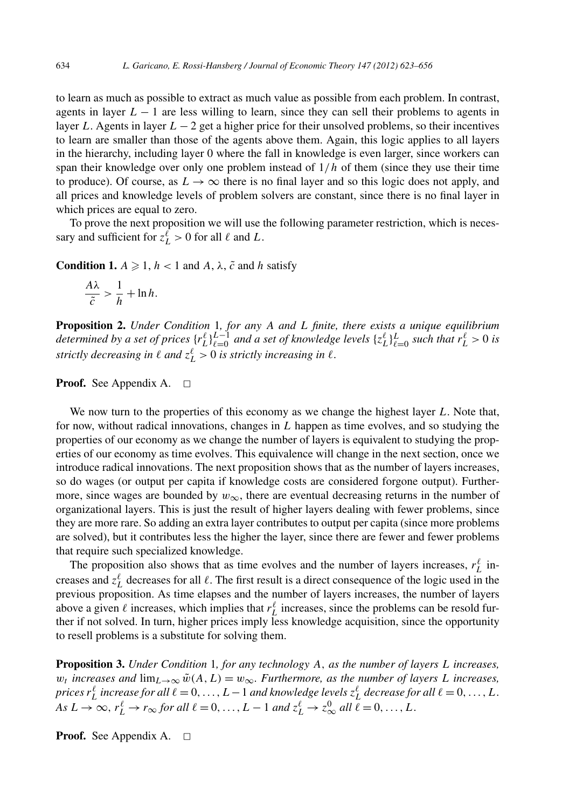to learn as much as possible to extract as much value as possible from each problem. In contrast, agents in layer  $L - 1$  are less willing to learn, since they can sell their problems to agents in layer *L*. Agents in layer *L* − 2 get a higher price for their unsolved problems, so their incentives to learn are smaller than those of the agents above them. Again, this logic applies to all layers in the hierarchy, including layer 0 where the fall in knowledge is even larger, since workers can span their knowledge over only one problem instead of 1*/h* of them (since they use their time to produce). Of course, as  $L \to \infty$  there is no final layer and so this logic does not apply, and all prices and knowledge levels of problem solvers are constant, since there is no final layer in which prices are equal to zero.

To prove the next proposition we will use the following parameter restriction, which is necessary and sufficient for  $z_L^{\ell} > 0$  for all  $\ell$  and  $L$ .

**Condition 1.**  $A \geq 1$ ,  $h < 1$  and  $A$ ,  $\lambda$ ,  $\tilde{c}$  and  $h$  satisfy

 $\frac{A\lambda}{\tilde{c}} > \frac{1}{h} + \ln h.$ 

**Proposition 2.** *Under Condition* 1*, for any A and L finite, there exists a unique equilibrium determined by a set of prices*  $\{r_L^{\ell}\}_{\ell=0}^{L-1}$  *and a set of knowledge levels*  $\{z_L^{\ell}\}_{\ell=0}^{L}$  *such that*  $r_L^{\ell} > 0$  *is strictly decreasing in*  $\ell$  *and*  $z_L^{\ell} > 0$  *is strictly increasing in*  $\ell$ *.* 

**Proof.** See Appendix A. □

We now turn to the properties of this economy as we change the highest layer *L*. Note that, for now, without radical innovations, changes in *L* happen as time evolves, and so studying the properties of our economy as we change the number of layers is equivalent to studying the properties of our economy as time evolves. This equivalence will change in the next section, once we introduce radical innovations. The next proposition shows that as the number of layers increases, so do wages (or output per capita if knowledge costs are considered forgone output). Furthermore, since wages are bounded by  $w_{\infty}$ , there are eventual decreasing returns in the number of organizational layers. This is just the result of higher layers dealing with fewer problems, since they are more rare. So adding an extra layer contributes to output per capita (since more problems are solved), but it contributes less the higher the layer, since there are fewer and fewer problems that require such specialized knowledge.

The proposition also shows that as time evolves and the number of layers increases,  $r_L^{\ell}$  increases and  $z_L^{\ell}$  decreases for all  $\ell$ . The first result is a direct consequence of the logic used in the previous proposition. As time elapses and the number of layers increases, the number of layers above a given  $\ell$  increases, which implies that  $r_L^{\ell}$  increases, since the problems can be resold further if not solved. In turn, higher prices imply less knowledge acquisition, since the opportunity to resell problems is a substitute for solving them.

**Proposition 3.** *Under Condition* 1*, for any technology A, as the number of layers L increases,*  $w_t$  *increases and*  $\lim_{L\to\infty} \tilde{w}(A, L) = w_\infty$ *. Furthermore, as the number of layers L increases*,  $p$ rices  $r_L^\ell$  increase for all  $\ell = 0, \ldots, L-1$  and knowledge levels  $z_L^\ell$  decrease for all  $\ell = 0, \ldots, L$ . *As*  $L \to \infty$ ,  $r_L^{\ell} \to r_{\infty}$  for all  $\ell = 0, \ldots, L-1$  and  $z_L^{\ell} \to z_{\infty}^0$  all  $\ell = 0, \ldots, L$ .

**Proof.** See Appendix A. □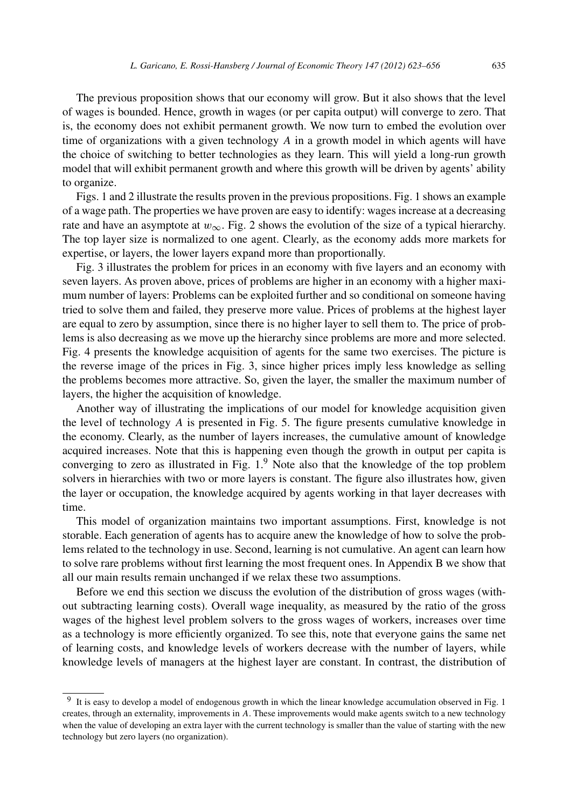The previous proposition shows that our economy will grow. But it also shows that the level of wages is bounded. Hence, growth in wages (or per capita output) will converge to zero. That is, the economy does not exhibit permanent growth. We now turn to embed the evolution over time of organizations with a given technology *A* in a growth model in which agents will have the choice of switching to better technologies as they learn. This will yield a long-run growth model that will exhibit permanent growth and where this growth will be driven by agents' ability to organize.

Figs. 1 and 2 illustrate the results proven in the previous propositions. Fig. 1 shows an example of a wage path. The properties we have proven are easy to identify: wages increase at a decreasing rate and have an asymptote at  $w_{\infty}$ . Fig. 2 shows the evolution of the size of a typical hierarchy. The top layer size is normalized to one agent. Clearly, as the economy adds more markets for expertise, or layers, the lower layers expand more than proportionally.

Fig. 3 illustrates the problem for prices in an economy with five layers and an economy with seven layers. As proven above, prices of problems are higher in an economy with a higher maximum number of layers: Problems can be exploited further and so conditional on someone having tried to solve them and failed, they preserve more value. Prices of problems at the highest layer are equal to zero by assumption, since there is no higher layer to sell them to. The price of problems is also decreasing as we move up the hierarchy since problems are more and more selected. Fig. 4 presents the knowledge acquisition of agents for the same two exercises. The picture is the reverse image of the prices in Fig. 3, since higher prices imply less knowledge as selling the problems becomes more attractive. So, given the layer, the smaller the maximum number of layers, the higher the acquisition of knowledge.

Another way of illustrating the implications of our model for knowledge acquisition given the level of technology *A* is presented in Fig. 5. The figure presents cumulative knowledge in the economy. Clearly, as the number of layers increases, the cumulative amount of knowledge acquired increases. Note that this is happening even though the growth in output per capita is converging to zero as illustrated in Fig.  $1<sup>9</sup>$  Note also that the knowledge of the top problem solvers in hierarchies with two or more layers is constant. The figure also illustrates how, given the layer or occupation, the knowledge acquired by agents working in that layer decreases with time.

This model of organization maintains two important assumptions. First, knowledge is not storable. Each generation of agents has to acquire anew the knowledge of how to solve the problems related to the technology in use. Second, learning is not cumulative. An agent can learn how to solve rare problems without first learning the most frequent ones. In Appendix B we show that all our main results remain unchanged if we relax these two assumptions.

Before we end this section we discuss the evolution of the distribution of gross wages (without subtracting learning costs). Overall wage inequality, as measured by the ratio of the gross wages of the highest level problem solvers to the gross wages of workers, increases over time as a technology is more efficiently organized. To see this, note that everyone gains the same net of learning costs, and knowledge levels of workers decrease with the number of layers, while knowledge levels of managers at the highest layer are constant. In contrast, the distribution of

<sup>&</sup>lt;sup>9</sup> It is easy to develop a model of endogenous growth in which the linear knowledge accumulation observed in Fig. 1 creates, through an externality, improvements in *A*. These improvements would make agents switch to a new technology when the value of developing an extra layer with the current technology is smaller than the value of starting with the new technology but zero layers (no organization).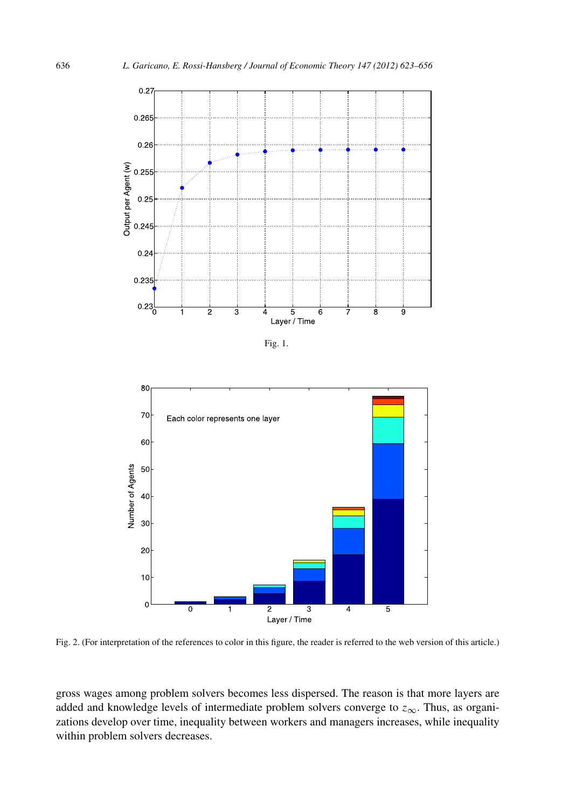

Fig. 1.



Fig. 2. (For interpretation of the references to color in this figure, the reader is referred to the web version of this article.)

gross wages among problem solvers becomes less dispersed. The reason is that more layers are added and knowledge levels of intermediate problem solvers converge to *z*∞. Thus, as organizations develop over time, inequality between workers and managers increases, while inequality within problem solvers decreases.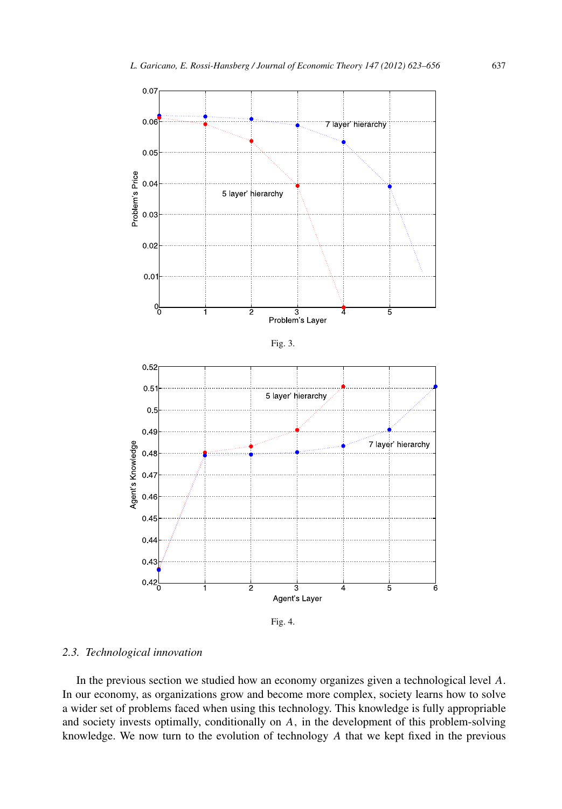





Fig. 4.

# *2.3. Technological innovation*

In the previous section we studied how an economy organizes given a technological level *A*. In our economy, as organizations grow and become more complex, society learns how to solve a wider set of problems faced when using this technology. This knowledge is fully appropriable and society invests optimally, conditionally on *A,* in the development of this problem-solving knowledge. We now turn to the evolution of technology *A* that we kept fixed in the previous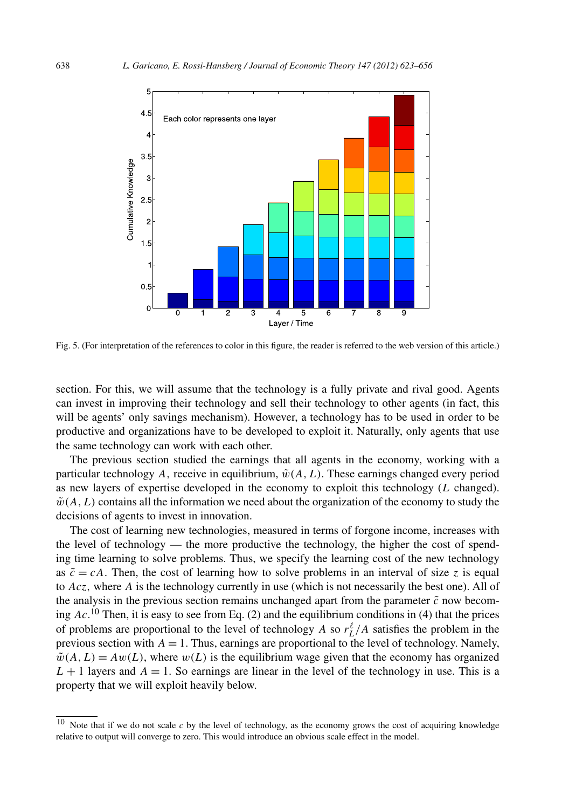

Fig. 5. (For interpretation of the references to color in this figure, the reader is referred to the web version of this article.)

section. For this, we will assume that the technology is a fully private and rival good. Agents can invest in improving their technology and sell their technology to other agents (in fact, this will be agents' only savings mechanism). However, a technology has to be used in order to be productive and organizations have to be developed to exploit it. Naturally, only agents that use the same technology can work with each other.

The previous section studied the earnings that all agents in the economy, working with a particular technology A, receive in equilibrium,  $\tilde{w}(A, L)$ . These earnings changed every period as new layers of expertise developed in the economy to exploit this technology (*L* changed).  $\tilde{w}(A, L)$  contains all the information we need about the organization of the economy to study the decisions of agents to invest in innovation.

The cost of learning new technologies, measured in terms of forgone income, increases with the level of technology — the more productive the technology, the higher the cost of spending time learning to solve problems. Thus, we specify the learning cost of the new technology as  $\tilde{c} = cA$ . Then, the cost of learning how to solve problems in an interval of size *z* is equal to *Acz,* where *A* is the technology currently in use (which is not necessarily the best one). All of the analysis in the previous section remains unchanged apart from the parameter  $\tilde{c}$  now becoming *Ac*. <sup>10</sup> Then, it is easy to see from Eq. (2) and the equilibrium conditions in (4) that the prices of problems are proportional to the level of technology *A* so  $r_L^{\ell}/A$  satisfies the problem in the previous section with  $A = 1$ . Thus, earnings are proportional to the level of technology. Namely,  $\tilde{w}(A, L) = Aw(L)$ , where  $w(L)$  is the equilibrium wage given that the economy has organized  $L + 1$  layers and  $A = 1$ . So earnings are linear in the level of the technology in use. This is a property that we will exploit heavily below.

<sup>&</sup>lt;sup>10</sup> Note that if we do not scale *c* by the level of technology, as the economy grows the cost of acquiring knowledge relative to output will converge to zero. This would introduce an obvious scale effect in the model.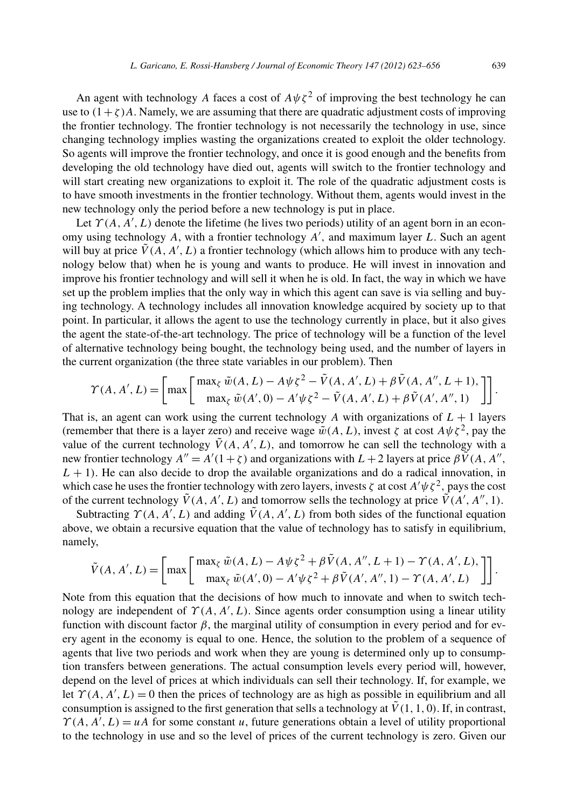An agent with technology *A* faces a cost of  $A\psi \zeta^2$  of improving the best technology he can use to  $(1+\zeta)A$ . Namely, we are assuming that there are quadratic adjustment costs of improving the frontier technology. The frontier technology is not necessarily the technology in use, since changing technology implies wasting the organizations created to exploit the older technology. So agents will improve the frontier technology, and once it is good enough and the benefits from developing the old technology have died out, agents will switch to the frontier technology and will start creating new organizations to exploit it. The role of the quadratic adjustment costs is to have smooth investments in the frontier technology. Without them, agents would invest in the new technology only the period before a new technology is put in place.

Let  $\Upsilon(A, A', L)$  denote the lifetime (he lives two periods) utility of an agent born in an economy using technology *A*, with a frontier technology *A ,* and maximum layer *L*. Such an agent will buy at price  $\tilde{V}(A, A', L)$  a frontier technology (which allows him to produce with any technology below that) when he is young and wants to produce. He will invest in innovation and improve his frontier technology and will sell it when he is old. In fact, the way in which we have set up the problem implies that the only way in which this agent can save is via selling and buying technology. A technology includes all innovation knowledge acquired by society up to that point. In particular, it allows the agent to use the technology currently in place, but it also gives the agent the state-of-the-art technology. The price of technology will be a function of the level of alternative technology being bought, the technology being used, and the number of layers in the current organization (the three state variables in our problem). Then

$$
\Upsilon(A, A', L) = \left[ \max \left[ \frac{\max_{\zeta} \tilde{w}(A, L) - A\psi \zeta^2 - \tilde{V}(A, A', L) + \beta \tilde{V}(A, A'', L+1)}{\max_{\zeta} \tilde{w}(A', 0) - A'\psi \zeta^2 - \tilde{V}(A, A', L) + \beta \tilde{V}(A', A'', 1)} \right] \right].
$$

That is, an agent can work using the current technology *A* with organizations of  $L + 1$  layers (remember that there is a layer zero) and receive wage  $\tilde{w}(A, L)$ , invest  $\zeta$  at cost  $A\psi \zeta^2$ , pay the value of the current technology  $\tilde{V}(A, A', L)$ , and tomorrow he can sell the technology with a new frontier technology  $A'' = A'(1+\zeta)$  and organizations with  $L + 2$  layers at price  $\beta \widetilde{V}(A, A'', A'')$  $L + 1$ ). He can also decide to drop the available organizations and do a radical innovation, in which case he uses the frontier technology with zero layers, invests  $\zeta$  at cost  $A' \psi \zeta^2$ , pays the cost of the current technology  $\tilde{V}(A, A', L)$  and tomorrow sells the technology at price  $\tilde{V}(A', A'', 1)$ .

Subtracting  $\Upsilon(A, A', L)$  and adding  $\tilde{V}(A, A', L)$  from both sides of the functional equation above, we obtain a recursive equation that the value of technology has to satisfy in equilibrium, namely,

$$
\tilde{V}(A, A', L) = \left[ \max \left[ \frac{\max_{\zeta} \tilde{w}(A, L) - A\psi \zeta^2 + \beta \tilde{V}(A, A'', L + 1) - \Upsilon(A, A', L),}{\max_{\zeta} \tilde{w}(A', 0) - A'\psi \zeta^2 + \beta \tilde{V}(A', A'', 1) - \Upsilon(A, A', L)} \right] \right].
$$

Note from this equation that the decisions of how much to innovate and when to switch technology are independent of  $\Upsilon(A, A', L)$ . Since agents order consumption using a linear utility function with discount factor  $\beta$ , the marginal utility of consumption in every period and for every agent in the economy is equal to one. Hence, the solution to the problem of a sequence of agents that live two periods and work when they are young is determined only up to consumption transfers between generations. The actual consumption levels every period will, however, depend on the level of prices at which individuals can sell their technology. If, for example, we let  $\Upsilon(A, A', L) = 0$  then the prices of technology are as high as possible in equilibrium and all consumption is assigned to the first generation that sells a technology at  $V(1, 1, 0)$ . If, in contrast,  $\gamma(A, A', L) = uA$  for some constant *u*, future generations obtain a level of utility proportional to the technology in use and so the level of prices of the current technology is zero. Given our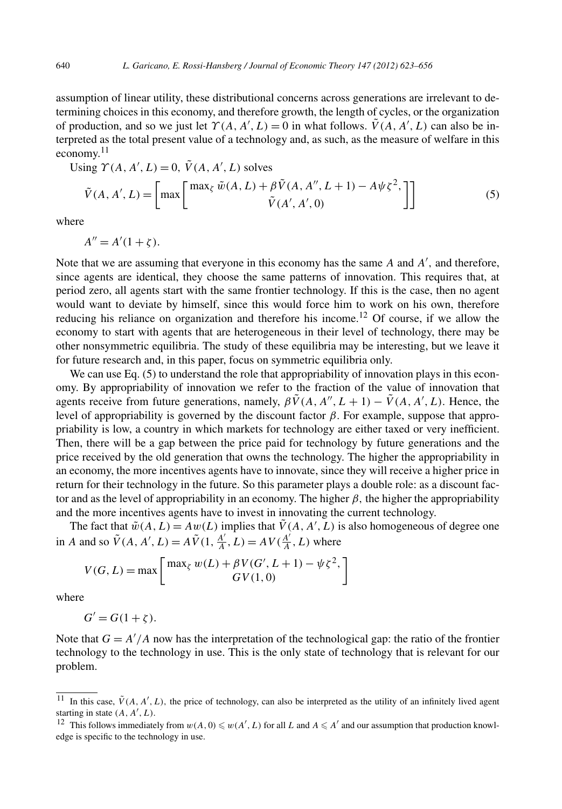assumption of linear utility, these distributional concerns across generations are irrelevant to determining choices in this economy, and therefore growth, the length of cycles, or the organization of production, and so we just let  $\Upsilon(A, A', L) = 0$  in what follows.  $\tilde{V}(A, A', L)$  can also be interpreted as the total present value of a technology and, as such, as the measure of welfare in this economy. $11$ 

Using  $\Upsilon(A, A', L) = 0$ ,  $\tilde{V}(A, A', L)$  solves

$$
\tilde{V}(A, A', L) = \left[ \max \left[ \frac{\max_{\zeta} \tilde{w}(A, L) + \beta \tilde{V}(A, A'', L + 1) - A \psi \zeta^{2}}{\tilde{V}(A', A', 0)} \right] \right]
$$
\n(5)

where

 $A'' = A'(1 + \zeta).$ 

Note that we are assuming that everyone in this economy has the same *A* and *A ,* and therefore, since agents are identical, they choose the same patterns of innovation. This requires that, at period zero, all agents start with the same frontier technology. If this is the case, then no agent would want to deviate by himself, since this would force him to work on his own, therefore reducing his reliance on organization and therefore his income.<sup>12</sup> Of course, if we allow the economy to start with agents that are heterogeneous in their level of technology, there may be other nonsymmetric equilibria. The study of these equilibria may be interesting, but we leave it for future research and, in this paper, focus on symmetric equilibria only.

We can use Eq.  $(5)$  to understand the role that appropriability of innovation plays in this economy. By appropriability of innovation we refer to the fraction of the value of innovation that agents receive from future generations, namely,  $\beta \tilde{V}(A, A'', L + 1) - \tilde{V}(A, A', L)$ . Hence, the level of appropriability is governed by the discount factor *β*. For example, suppose that appropriability is low, a country in which markets for technology are either taxed or very inefficient. Then, there will be a gap between the price paid for technology by future generations and the price received by the old generation that owns the technology. The higher the appropriability in an economy, the more incentives agents have to innovate, since they will receive a higher price in return for their technology in the future. So this parameter plays a double role: as a discount factor and as the level of appropriability in an economy. The higher *β,* the higher the appropriability and the more incentives agents have to invest in innovating the current technology.

The fact that  $\tilde{w}(A, L) = Aw(L)$  implies that  $\tilde{V}(A, A', L)$  is also homogeneous of degree one in *A* and so  $\tilde{V}(A, A', L) = A\tilde{V}(1, \frac{A'}{A}, L) = AV(\frac{A'}{A}, L)$  where

$$
V(G, L) = \max \left[ \frac{\max_{\zeta} w(L) + \beta V(G', L + 1) - \psi \zeta^{2}}{GV(1, 0)} \right]
$$

where

$$
G' = G(1 + \zeta).
$$

Note that  $G = A'/A$  now has the interpretation of the technological gap: the ratio of the frontier technology to the technology in use. This is the only state of technology that is relevant for our problem.

<sup>&</sup>lt;sup>11</sup> In this case,  $\tilde{V}(A, A', L)$ , the price of technology, can also be interpreted as the utility of an infinitely lived agent starting in state  $(A, A', L)$ .

<sup>&</sup>lt;sup>12</sup> This follows immediately from  $w(A, 0) \leq w(A', L)$  for all *L* and  $A \leq A'$  and our assumption that production knowledge is specific to the technology in use.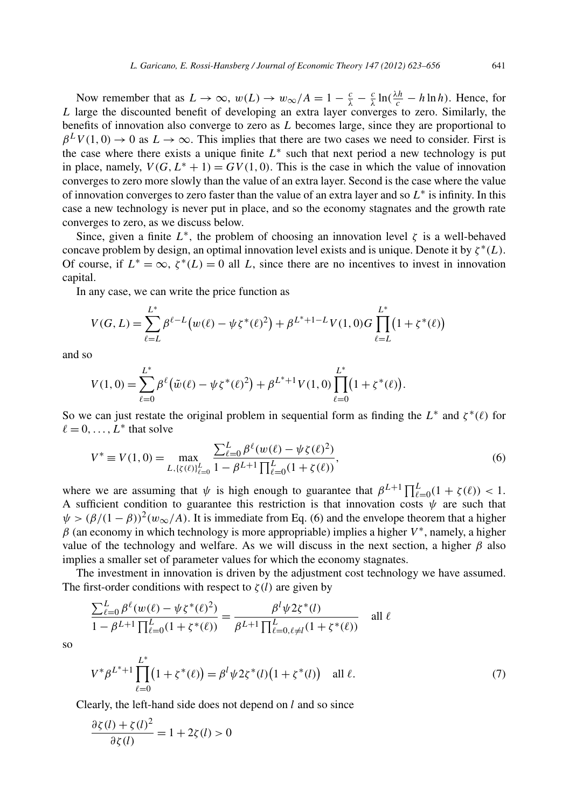Now remember that as  $L \to \infty$ ,  $w(L) \to w_{\infty}/A = 1 - \frac{c}{\lambda} - \frac{c}{\lambda} \ln(\frac{\lambda h}{c} - h \ln h)$ . Hence, for *L* large the discounted benefit of developing an extra layer converges to zero. Similarly, the benefits of innovation also converge to zero as *L* becomes large, since they are proportional to  $\beta^L V(1,0) \rightarrow 0$  as  $L \rightarrow \infty$ . This implies that there are two cases we need to consider. First is the case where there exists a unique finite  $L^*$  such that next period a new technology is put in place, namely,  $V(G, L^* + 1) = GV(1, 0)$ . This is the case in which the value of innovation converges to zero more slowly than the value of an extra layer. Second is the case where the value of innovation converges to zero faster than the value of an extra layer and so *L*<sup>∗</sup> is infinity. In this case a new technology is never put in place, and so the economy stagnates and the growth rate converges to zero, as we discuss below.

Since, given a finite  $L^*$ , the problem of choosing an innovation level  $\zeta$  is a well-behaved concave problem by design, an optimal innovation level exists and is unique. Denote it by  $\zeta^*(L)$ . Of course, if  $L^* = \infty$ ,  $\zeta^*(L) = 0$  all L, since there are no incentives to invest in innovation capital.

In any case, we can write the price function as

$$
V(G, L) = \sum_{\ell=L}^{L^*} \beta^{\ell-L} \left( w(\ell) - \psi \zeta^*(\ell)^2 \right) + \beta^{L^*+1-L} V(1,0) G \prod_{\ell=L}^{L^*} \left( 1 + \zeta^*(\ell) \right)
$$

and so

$$
V(1,0) = \sum_{\ell=0}^{L^*} \beta^{\ell} (\tilde{w}(\ell) - \psi \zeta^*(\ell)^2) + \beta^{L^*+1} V(1,0) \prod_{\ell=0}^{L^*} (1 + \zeta^*(\ell)).
$$

So we can just restate the original problem in sequential form as finding the *L*<sup>∗</sup> and *ζ* <sup>∗</sup>*()* for  $\ell = 0, \ldots, L^*$  that solve

$$
V^* \equiv V(1,0) = \max_{L,\{\zeta(\ell)\}_{\ell=0}^L} \frac{\sum_{\ell=0}^L \beta^{\ell}(w(\ell) - \psi \zeta(\ell)^2)}{1 - \beta^{L+1} \prod_{\ell=0}^L (1 + \zeta(\ell))},\tag{6}
$$

where we are assuming that  $\psi$  is high enough to guarantee that  $\beta^{L+1} \prod_{\ell=0}^{L} (1 + \zeta(\ell)) < 1$ . A sufficient condition to guarantee this restriction is that innovation costs  $\psi$  are such that  $\psi > (\beta/(1 - \beta))^2(w_\infty/A)$ . It is immediate from Eq. (6) and the envelope theorem that a higher  $β$  (an economy in which technology is more appropriable) implies a higher  $V^*$ , namely, a higher value of the technology and welfare. As we will discuss in the next section, a higher  $\beta$  also implies a smaller set of parameter values for which the economy stagnates.

The investment in innovation is driven by the adjustment cost technology we have assumed. The first-order conditions with respect to  $\zeta(l)$  are given by

$$
\frac{\sum_{\ell=0}^{L} \beta^{\ell}(w(\ell) - \psi \zeta^{*}(\ell)^{2})}{1 - \beta^{L+1} \prod_{\ell=0}^{L} (1 + \zeta^{*}(\ell))} = \frac{\beta^{l} \psi 2 \zeta^{*}(l)}{\beta^{L+1} \prod_{\ell=0, \ell \neq l}^{L} (1 + \zeta^{*}(\ell))} \text{ all } \ell
$$

so

$$
V^* \beta^{L^*+1} \prod_{\ell=0}^{L^*} (1 + \zeta^*(\ell)) = \beta^l \psi 2\zeta^*(l) (1 + \zeta^*(l)) \quad \text{all } \ell.
$$
 (7)

Clearly, the left-hand side does not depend on *l* and so since

$$
\frac{\partial \zeta(l) + \zeta(l)^2}{\partial \zeta(l)} = 1 + 2\zeta(l) > 0
$$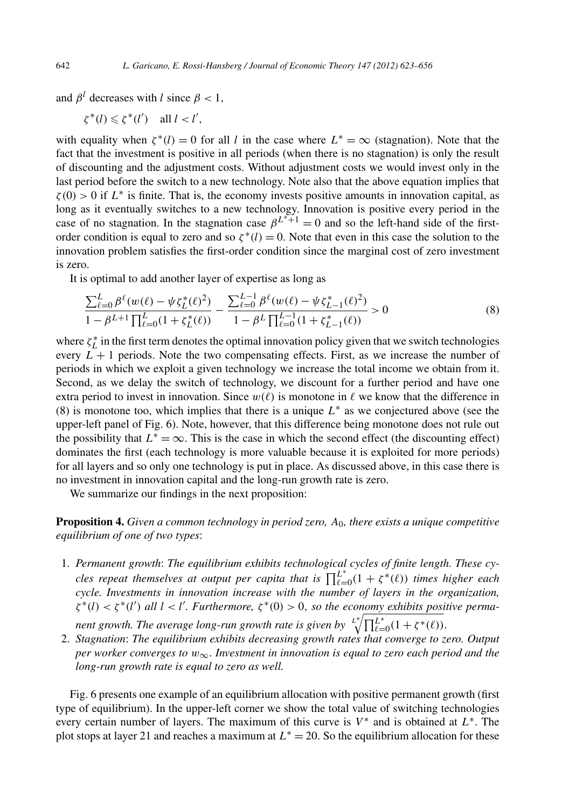and  $\beta^l$  decreases with *l* since  $\beta < 1$ ,

$$
\zeta^*(l) \leq \zeta^*(l') \quad \text{all } l < l',
$$

with equality when  $\zeta^*(l) = 0$  for all *l* in the case where  $L^* = \infty$  (stagnation). Note that the fact that the investment is positive in all periods (when there is no stagnation) is only the result of discounting and the adjustment costs. Without adjustment costs we would invest only in the last period before the switch to a new technology. Note also that the above equation implies that  $\zeta(0) > 0$  if  $L^*$  is finite. That is, the economy invests positive amounts in innovation capital, as long as it eventually switches to a new technology. Innovation is positive every period in the case of no stagnation. In the stagnation case  $\beta^{L^*+1} = 0$  and so the left-hand side of the firstorder condition is equal to zero and so  $\zeta^*(l) = 0$ . Note that even in this case the solution to the innovation problem satisfies the first-order condition since the marginal cost of zero investment is zero.

It is optimal to add another layer of expertise as long as

$$
\frac{\sum_{\ell=0}^{L} \beta^{\ell}(w(\ell) - \psi \zeta_{L}^{*}(\ell)^{2})}{1 - \beta^{L+1} \prod_{\ell=0}^{L} (1 + \zeta_{L}^{*}(\ell))} - \frac{\sum_{\ell=0}^{L-1} \beta^{\ell}(w(\ell) - \psi \zeta_{L-1}^{*}(\ell)^{2})}{1 - \beta^{L} \prod_{\ell=0}^{L-1} (1 + \zeta_{L-1}^{*}(\ell))} > 0
$$
\n(8)

where  $\zeta_L^*$  in the first term denotes the optimal innovation policy given that we switch technologies every  $L + 1$  periods. Note the two compensating effects. First, as we increase the number of periods in which we exploit a given technology we increase the total income we obtain from it. Second, as we delay the switch of technology, we discount for a further period and have one extra period to invest in innovation. Since  $w(\ell)$  is monotone in  $\ell$  we know that the difference in (8) is monotone too, which implies that there is a unique *L*<sup>∗</sup> as we conjectured above (see the upper-left panel of Fig. 6). Note, however, that this difference being monotone does not rule out the possibility that  $L^* = \infty$ . This is the case in which the second effect (the discounting effect) dominates the first (each technology is more valuable because it is exploited for more periods) for all layers and so only one technology is put in place. As discussed above, in this case there is no investment in innovation capital and the long-run growth rate is zero.

We summarize our findings in the next proposition:

**Proposition 4.** *Given a common technology in period zero, A*0*, there exists a unique competitive equilibrium of one of two types*:

1. *Permanent growth*: *The equilibrium exhibits technological cycles of finite length. These cycles repeat themselves at output per capita that is*  $\prod_{\ell=0}^{L^*} (1 + \zeta^*(\ell))$  *times higher each cycle. Investments in innovation increase with the number of layers in the organization,*  $\zeta^*(l) < \zeta^*(l')$  all  $l < l'$ . Furthermore,  $\zeta^*(0) > 0$ , so the economy exhibits positive perma-

*nent growth. The average long-run growth rate is given by*  $\sqrt[L^*]{\prod_{\ell=0}^{L^*}(1+\zeta^*(\ell))}$ .

2. *Stagnation*: *The equilibrium exhibits decreasing growth rates that converge to zero. Output per worker converges to w*∞*. Investment in innovation is equal to zero each period and the long-run growth rate is equal to zero as well.*

Fig. 6 presents one example of an equilibrium allocation with positive permanent growth (first type of equilibrium). In the upper-left corner we show the total value of switching technologies every certain number of layers. The maximum of this curve is  $V^*$  and is obtained at  $L^*$ . The plot stops at layer 21 and reaches a maximum at  $L^* = 20$ . So the equilibrium allocation for these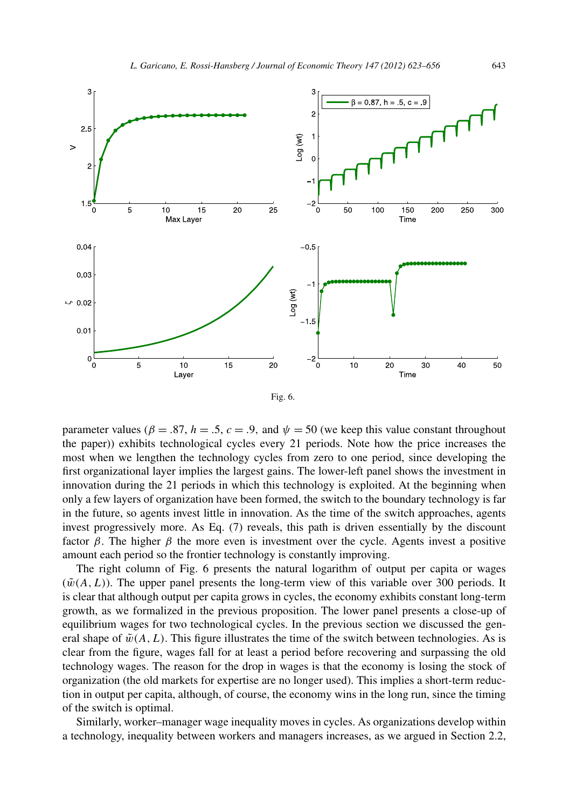

parameter values ( $\beta = .87$ ,  $h = .5$ ,  $c = .9$ , and  $\psi = 50$  (we keep this value constant throughout the paper)) exhibits technological cycles every 21 periods. Note how the price increases the most when we lengthen the technology cycles from zero to one period, since developing the first organizational layer implies the largest gains. The lower-left panel shows the investment in innovation during the 21 periods in which this technology is exploited. At the beginning when only a few layers of organization have been formed, the switch to the boundary technology is far in the future, so agents invest little in innovation. As the time of the switch approaches, agents invest progressively more. As Eq. (7) reveals, this path is driven essentially by the discount factor  $\beta$ . The higher  $\beta$  the more even is investment over the cycle. Agents invest a positive amount each period so the frontier technology is constantly improving.

The right column of Fig. 6 presents the natural logarithm of output per capita or wages  $(\tilde{w}(A, L))$ . The upper panel presents the long-term view of this variable over 300 periods. It is clear that although output per capita grows in cycles, the economy exhibits constant long-term growth, as we formalized in the previous proposition. The lower panel presents a close-up of equilibrium wages for two technological cycles. In the previous section we discussed the general shape of  $\tilde{w}(A, L)$ . This figure illustrates the time of the switch between technologies. As is clear from the figure, wages fall for at least a period before recovering and surpassing the old technology wages. The reason for the drop in wages is that the economy is losing the stock of organization (the old markets for expertise are no longer used). This implies a short-term reduction in output per capita, although, of course, the economy wins in the long run, since the timing of the switch is optimal.

Similarly, worker–manager wage inequality moves in cycles. As organizations develop within a technology, inequality between workers and managers increases, as we argued in Section 2.2,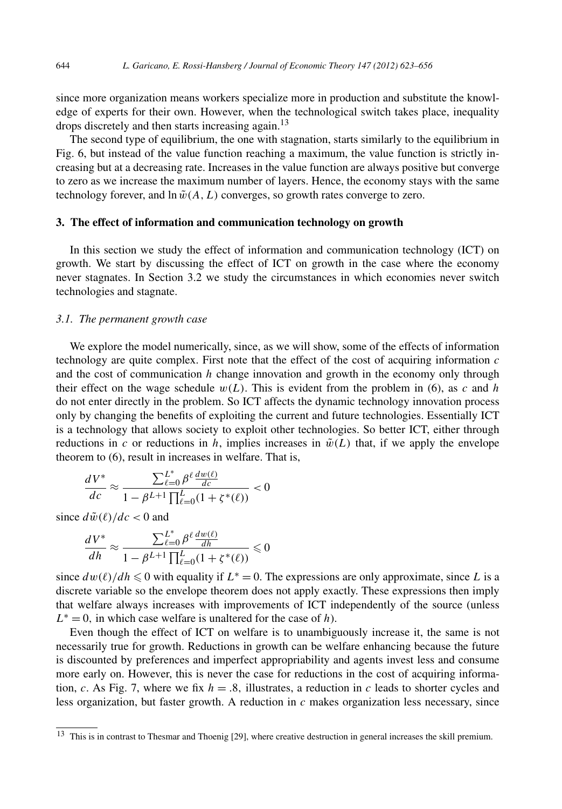since more organization means workers specialize more in production and substitute the knowledge of experts for their own. However, when the technological switch takes place, inequality drops discretely and then starts increasing again.<sup>13</sup>

The second type of equilibrium, the one with stagnation, starts similarly to the equilibrium in Fig. 6, but instead of the value function reaching a maximum, the value function is strictly increasing but at a decreasing rate. Increases in the value function are always positive but converge to zero as we increase the maximum number of layers. Hence, the economy stays with the same technology forever, and  $\ln \tilde{w}(A, L)$  converges, so growth rates converge to zero.

# **3. The effect of information and communication technology on growth**

In this section we study the effect of information and communication technology (ICT) on growth. We start by discussing the effect of ICT on growth in the case where the economy never stagnates. In Section 3.2 we study the circumstances in which economies never switch technologies and stagnate.

#### *3.1. The permanent growth case*

We explore the model numerically, since, as we will show, some of the effects of information technology are quite complex. First note that the effect of the cost of acquiring information  $c$ and the cost of communication *h* change innovation and growth in the economy only through their effect on the wage schedule  $w(L)$ . This is evident from the problem in (6), as c and h do not enter directly in the problem. So ICT affects the dynamic technology innovation process only by changing the benefits of exploiting the current and future technologies. Essentially ICT is a technology that allows society to exploit other technologies. So better ICT, either through reductions in *c* or reductions in *h*, implies increases in  $\tilde{w}(L)$  that, if we apply the envelope theorem to (6), result in increases in welfare. That is,

$$
\frac{dV^*}{dc} \approx \frac{\sum_{\ell=0}^{L^*} \beta^{\ell} \frac{dw(\ell)}{dc}}{1 - \beta^{L+1} \prod_{\ell=0}^{L} (1 + \zeta^*(\ell))} < 0
$$

since  $d\tilde{w}(\ell)/dc < 0$  and

$$
\frac{dV^*}{dh} \approx \frac{\sum_{\ell=0}^{L^*} \beta^{\ell} \frac{dw(\ell)}{dh}}{1 - \beta^{L+1} \prod_{\ell=0}^{L} (1 + \zeta^*(\ell))} \leq 0
$$

since  $dw(\ell)/dh \leq 0$  with equality if  $L^* = 0$ . The expressions are only approximate, since L is a discrete variable so the envelope theorem does not apply exactly. These expressions then imply that welfare always increases with improvements of ICT independently of the source (unless  $L^* = 0$ , in which case welfare is unaltered for the case of *h*).

Even though the effect of ICT on welfare is to unambiguously increase it, the same is not necessarily true for growth. Reductions in growth can be welfare enhancing because the future is discounted by preferences and imperfect appropriability and agents invest less and consume more early on. However, this is never the case for reductions in the cost of acquiring information, *c*. As Fig. 7, where we fix  $h = .8$ , illustrates, a reduction in *c* leads to shorter cycles and less organization, but faster growth. A reduction in *c* makes organization less necessary, since

<sup>&</sup>lt;sup>13</sup> This is in contrast to Thesmar and Thoenig [29], where creative destruction in general increases the skill premium.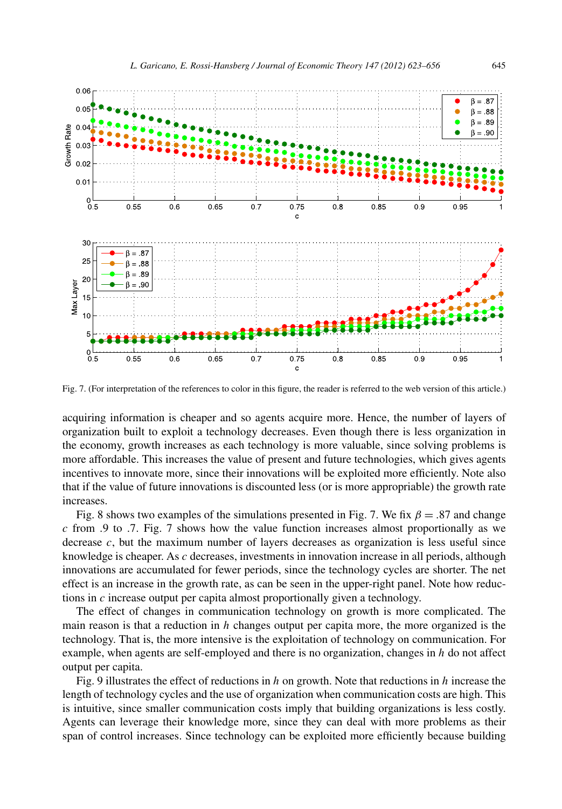

Fig. 7. (For interpretation of the references to color in this figure, the reader is referred to the web version of this article.)

acquiring information is cheaper and so agents acquire more. Hence, the number of layers of organization built to exploit a technology decreases. Even though there is less organization in the economy, growth increases as each technology is more valuable, since solving problems is more affordable. This increases the value of present and future technologies, which gives agents incentives to innovate more, since their innovations will be exploited more efficiently. Note also that if the value of future innovations is discounted less (or is more appropriable) the growth rate increases.

Fig. 8 shows two examples of the simulations presented in Fig. 7. We fix  $\beta = .87$  and change *c* from *.*9 to *.*7*.* Fig. 7 shows how the value function increases almost proportionally as we decrease  $c$ , but the maximum number of layers decreases as organization is less useful since knowledge is cheaper. As *c* decreases, investments in innovation increase in all periods, although innovations are accumulated for fewer periods, since the technology cycles are shorter. The net effect is an increase in the growth rate, as can be seen in the upper-right panel. Note how reductions in *c* increase output per capita almost proportionally given a technology.

The effect of changes in communication technology on growth is more complicated. The main reason is that a reduction in *h* changes output per capita more, the more organized is the technology. That is, the more intensive is the exploitation of technology on communication. For example, when agents are self-employed and there is no organization, changes in *h* do not affect output per capita.

Fig. 9 illustrates the effect of reductions in *h* on growth. Note that reductions in *h* increase the length of technology cycles and the use of organization when communication costs are high. This is intuitive, since smaller communication costs imply that building organizations is less costly. Agents can leverage their knowledge more, since they can deal with more problems as their span of control increases. Since technology can be exploited more efficiently because building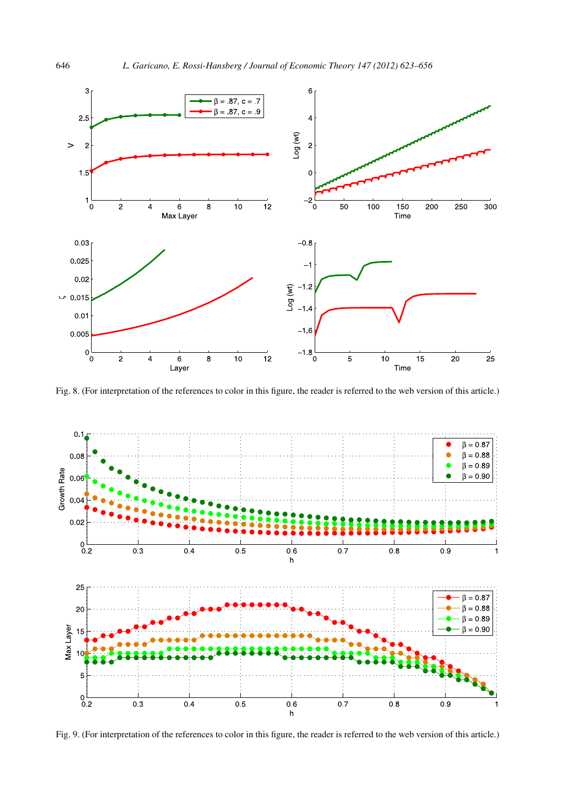

Fig. 8. (For interpretation of the references to color in this figure, the reader is referred to the web version of this article.)



Fig. 9. (For interpretation of the references to color in this figure, the reader is referred to the web version of this article.)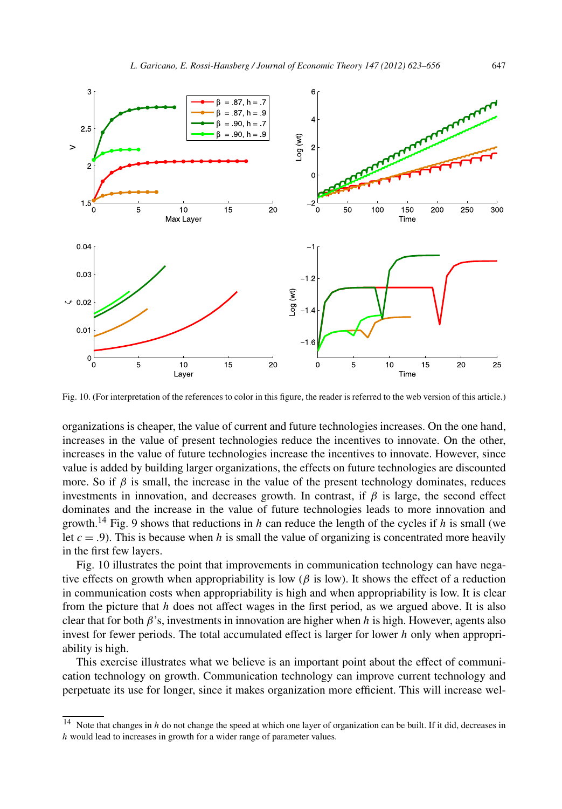

Fig. 10. (For interpretation of the references to color in this figure, the reader is referred to the web version of this article.)

organizations is cheaper, the value of current and future technologies increases. On the one hand, increases in the value of present technologies reduce the incentives to innovate. On the other, increases in the value of future technologies increase the incentives to innovate. However, since value is added by building larger organizations, the effects on future technologies are discounted more. So if  $\beta$  is small, the increase in the value of the present technology dominates, reduces investments in innovation, and decreases growth. In contrast, if  $\beta$  is large, the second effect dominates and the increase in the value of future technologies leads to more innovation and growth.14 Fig. 9 shows that reductions in *h* can reduce the length of the cycles if *h* is small (we let  $c = 0.9$ . This is because when h is small the value of organizing is concentrated more heavily in the first few layers.

Fig. 10 illustrates the point that improvements in communication technology can have negative effects on growth when appropriability is low  $(\beta$  is low). It shows the effect of a reduction in communication costs when appropriability is high and when appropriability is low. It is clear from the picture that *h* does not affect wages in the first period, as we argued above. It is also clear that for both *β*'s, investments in innovation are higher when *h* is high. However, agents also invest for fewer periods. The total accumulated effect is larger for lower *h* only when appropriability is high.

This exercise illustrates what we believe is an important point about the effect of communication technology on growth. Communication technology can improve current technology and perpetuate its use for longer, since it makes organization more efficient. This will increase wel-

<sup>&</sup>lt;sup>14</sup> Note that changes in *h* do not change the speed at which one layer of organization can be built. If it did, decreases in *h* would lead to increases in growth for a wider range of parameter values.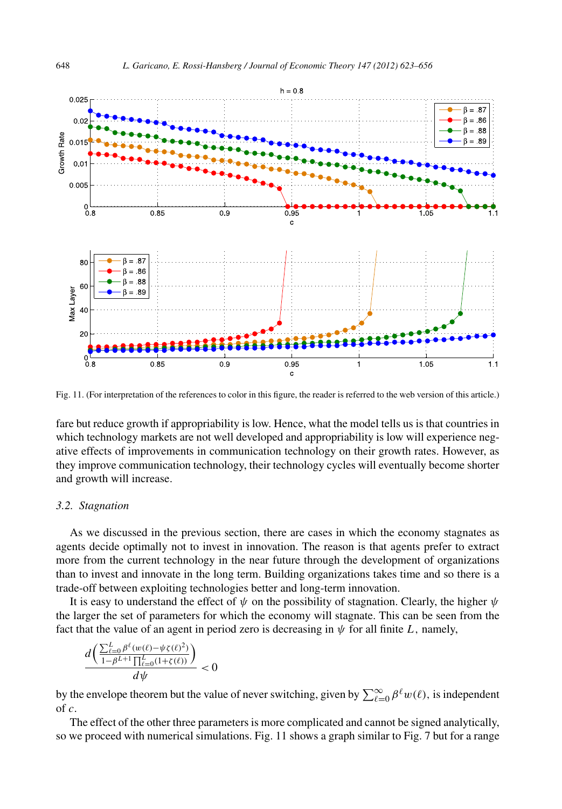

Fig. 11. (For interpretation of the references to color in this figure, the reader is referred to the web version of this article.)

fare but reduce growth if appropriability is low. Hence, what the model tells us is that countries in which technology markets are not well developed and appropriability is low will experience negative effects of improvements in communication technology on their growth rates. However, as they improve communication technology, their technology cycles will eventually become shorter and growth will increase.

#### *3.2. Stagnation*

As we discussed in the previous section, there are cases in which the economy stagnates as agents decide optimally not to invest in innovation. The reason is that agents prefer to extract more from the current technology in the near future through the development of organizations than to invest and innovate in the long term. Building organizations takes time and so there is a trade-off between exploiting technologies better and long-term innovation.

It is easy to understand the effect of *ψ* on the possibility of stagnation. Clearly, the higher *ψ* the larger the set of parameters for which the economy will stagnate. This can be seen from the fact that the value of an agent in period zero is decreasing in  $\psi$  for all finite *L*, namely,

$$
\frac{d\left(\frac{\sum_{\ell=0}^L \beta^{\ell}(w(\ell)-\psi \zeta(\ell)^2)}{1-\beta^{L+1}\prod_{\ell=0}^L (1+\zeta(\ell))}\right)}{d\psi} < 0
$$

by the envelope theorem but the value of never switching, given by  $\sum_{\ell=0}^{\infty} \beta^{\ell} w(\ell)$ , is independent of *c.*

The effect of the other three parameters is more complicated and cannot be signed analytically, so we proceed with numerical simulations. Fig. 11 shows a graph similar to Fig. 7 but for a range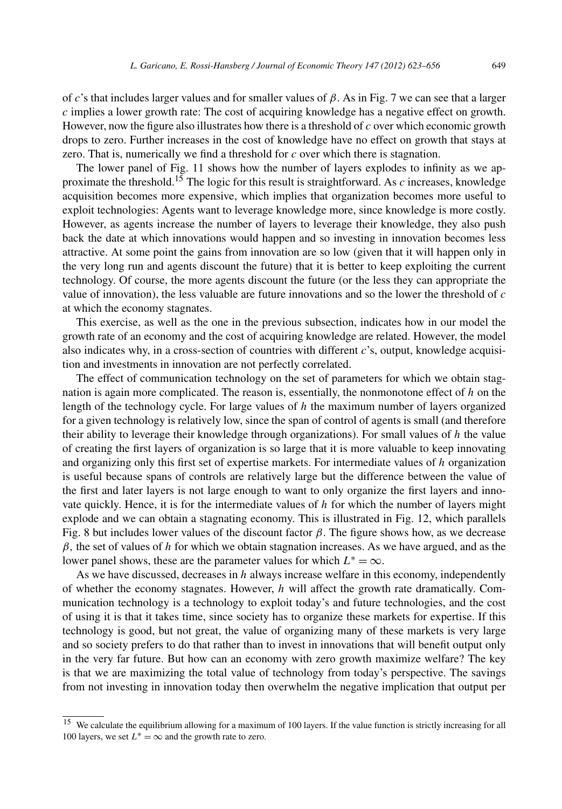of *c*'s that includes larger values and for smaller values of *β*. As in Fig. 7 we can see that a larger *c* implies a lower growth rate: The cost of acquiring knowledge has a negative effect on growth. However, now the figure also illustrates how there is a threshold of *c* over which economic growth drops to zero. Further increases in the cost of knowledge have no effect on growth that stays at zero. That is, numerically we find a threshold for *c* over which there is stagnation.

The lower panel of Fig. 11 shows how the number of layers explodes to infinity as we approximate the threshold.15 The logic for this result is straightforward. As *c* increases, knowledge acquisition becomes more expensive, which implies that organization becomes more useful to exploit technologies: Agents want to leverage knowledge more, since knowledge is more costly. However, as agents increase the number of layers to leverage their knowledge, they also push back the date at which innovations would happen and so investing in innovation becomes less attractive. At some point the gains from innovation are so low (given that it will happen only in the very long run and agents discount the future) that it is better to keep exploiting the current technology. Of course, the more agents discount the future (or the less they can appropriate the value of innovation), the less valuable are future innovations and so the lower the threshold of *c* at which the economy stagnates.

This exercise, as well as the one in the previous subsection, indicates how in our model the growth rate of an economy and the cost of acquiring knowledge are related. However, the model also indicates why, in a cross-section of countries with different *c*'s, output, knowledge acquisition and investments in innovation are not perfectly correlated.

The effect of communication technology on the set of parameters for which we obtain stagnation is again more complicated. The reason is, essentially, the nonmonotone effect of *h* on the length of the technology cycle. For large values of *h* the maximum number of layers organized for a given technology is relatively low, since the span of control of agents is small (and therefore their ability to leverage their knowledge through organizations). For small values of *h* the value of creating the first layers of organization is so large that it is more valuable to keep innovating and organizing only this first set of expertise markets. For intermediate values of *h* organization is useful because spans of controls are relatively large but the difference between the value of the first and later layers is not large enough to want to only organize the first layers and innovate quickly. Hence, it is for the intermediate values of *h* for which the number of layers might explode and we can obtain a stagnating economy. This is illustrated in Fig. 12, which parallels Fig. 8 but includes lower values of the discount factor *β*. The figure shows how, as we decrease *β,* the set of values of *h* for which we obtain stagnation increases. As we have argued, and as the lower panel shows, these are the parameter values for which  $L^* = \infty$ .

As we have discussed, decreases in *h* always increase welfare in this economy, independently of whether the economy stagnates. However, *h* will affect the growth rate dramatically. Communication technology is a technology to exploit today's and future technologies, and the cost of using it is that it takes time, since society has to organize these markets for expertise. If this technology is good, but not great, the value of organizing many of these markets is very large and so society prefers to do that rather than to invest in innovations that will benefit output only in the very far future. But how can an economy with zero growth maximize welfare? The key is that we are maximizing the total value of technology from today's perspective. The savings from not investing in innovation today then overwhelm the negative implication that output per

<sup>&</sup>lt;sup>15</sup> We calculate the equilibrium allowing for a maximum of 100 layers. If the value function is strictly increasing for all 100 layers, we set  $L^* = \infty$  and the growth rate to zero.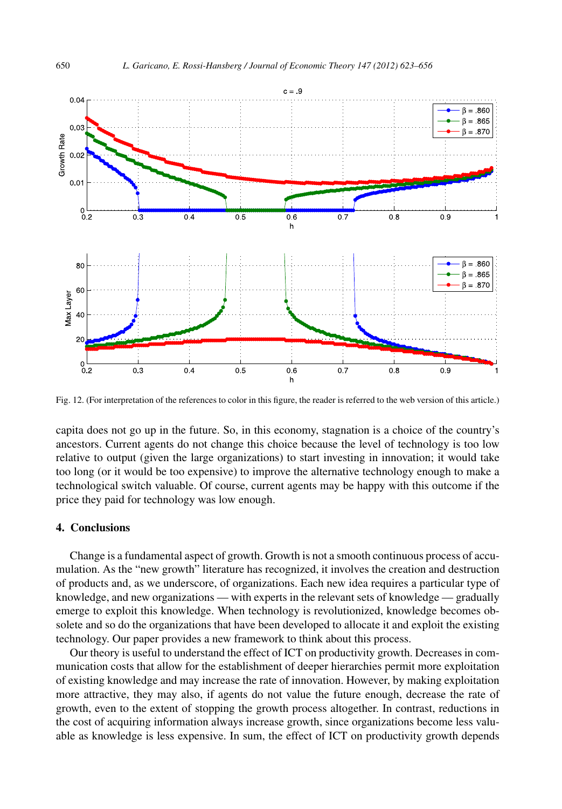

Fig. 12. (For interpretation of the references to color in this figure, the reader is referred to the web version of this article.)

capita does not go up in the future. So, in this economy, stagnation is a choice of the country's ancestors. Current agents do not change this choice because the level of technology is too low relative to output (given the large organizations) to start investing in innovation; it would take too long (or it would be too expensive) to improve the alternative technology enough to make a technological switch valuable. Of course, current agents may be happy with this outcome if the price they paid for technology was low enough.

## **4. Conclusions**

Change is a fundamental aspect of growth. Growth is not a smooth continuous process of accumulation. As the "new growth" literature has recognized, it involves the creation and destruction of products and, as we underscore, of organizations. Each new idea requires a particular type of knowledge, and new organizations — with experts in the relevant sets of knowledge — gradually emerge to exploit this knowledge. When technology is revolutionized, knowledge becomes obsolete and so do the organizations that have been developed to allocate it and exploit the existing technology. Our paper provides a new framework to think about this process.

Our theory is useful to understand the effect of ICT on productivity growth. Decreases in communication costs that allow for the establishment of deeper hierarchies permit more exploitation of existing knowledge and may increase the rate of innovation. However, by making exploitation more attractive, they may also, if agents do not value the future enough, decrease the rate of growth, even to the extent of stopping the growth process altogether. In contrast, reductions in the cost of acquiring information always increase growth, since organizations become less valuable as knowledge is less expensive. In sum, the effect of ICT on productivity growth depends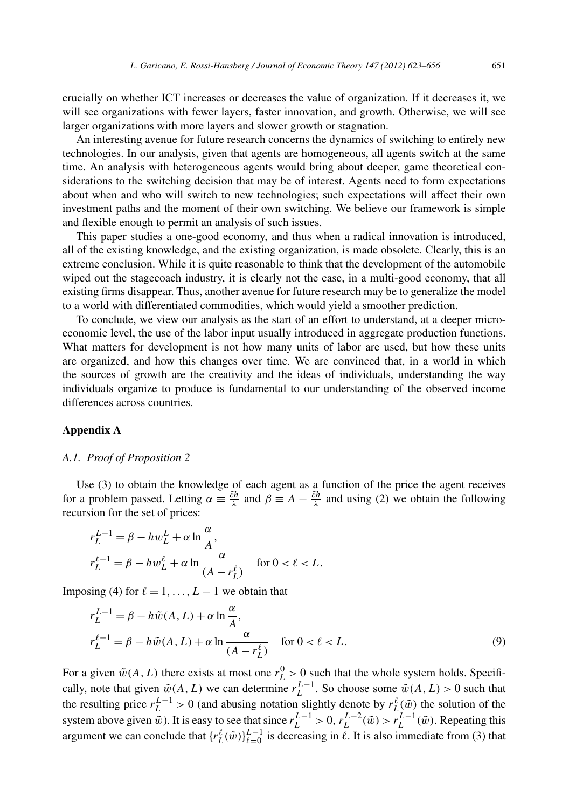crucially on whether ICT increases or decreases the value of organization. If it decreases it, we will see organizations with fewer layers, faster innovation, and growth. Otherwise, we will see larger organizations with more layers and slower growth or stagnation.

An interesting avenue for future research concerns the dynamics of switching to entirely new technologies. In our analysis, given that agents are homogeneous, all agents switch at the same time. An analysis with heterogeneous agents would bring about deeper, game theoretical considerations to the switching decision that may be of interest. Agents need to form expectations about when and who will switch to new technologies; such expectations will affect their own investment paths and the moment of their own switching. We believe our framework is simple and flexible enough to permit an analysis of such issues.

This paper studies a one-good economy, and thus when a radical innovation is introduced, all of the existing knowledge, and the existing organization, is made obsolete. Clearly, this is an extreme conclusion. While it is quite reasonable to think that the development of the automobile wiped out the stagecoach industry, it is clearly not the case, in a multi-good economy, that all existing firms disappear. Thus, another avenue for future research may be to generalize the model to a world with differentiated commodities, which would yield a smoother prediction.

To conclude, we view our analysis as the start of an effort to understand, at a deeper microeconomic level, the use of the labor input usually introduced in aggregate production functions. What matters for development is not how many units of labor are used, but how these units are organized, and how this changes over time. We are convinced that, in a world in which the sources of growth are the creativity and the ideas of individuals, understanding the way individuals organize to produce is fundamental to our understanding of the observed income differences across countries.

## **Appendix A**

## *A.1. Proof of Proposition 2*

Use (3) to obtain the knowledge of each agent as a function of the price the agent receives for a problem passed. Letting  $\alpha \equiv \frac{\tilde{c}h}{\lambda}$  and  $\beta \equiv A - \frac{\tilde{c}h}{\lambda}$  and using (2) we obtain the following recursion for the set of prices:

$$
r_L^{L-1} = \beta - hw_L^L + \alpha \ln \frac{\alpha}{A},
$$
  

$$
r_L^{\ell-1} = \beta - hw_L^{\ell} + \alpha \ln \frac{\alpha}{(A - r_L^{\ell})} \quad \text{for } 0 < \ell < L.
$$

Imposing (4) for  $\ell = 1, \ldots, L-1$  we obtain that

$$
r_L^{L-1} = \beta - h\tilde{w}(A, L) + \alpha \ln \frac{\alpha}{A},
$$
  
\n
$$
r_L^{\ell-1} = \beta - h\tilde{w}(A, L) + \alpha \ln \frac{\alpha}{(A - r_L^{\ell})} \quad \text{for } 0 < \ell < L.
$$
 (9)

For a given  $\tilde{w}(A, L)$  there exists at most one  $r_L^0 > 0$  such that the whole system holds. Specifically, note that given  $\tilde{w}(A, L)$  we can determine  $r_L^{L-1}$ . So choose some  $\tilde{w}(A, L) > 0$  such that the resulting price  $r_L^{L-1} > 0$  (and abusing notation slightly denote by  $r_L^{\ell}(\tilde{w})$ ) the solution of the system above given  $\tilde{w}$ ). It is easy to see that since  $r_L^{L-1} > 0$ ,  $r_L^{L-2}(\tilde{w}) > r_L^{L-1}(\tilde{w})$ . Repeating this argument we can conclude that  $\{r_L^{\ell}(\tilde{w})\}_{\ell=0}^{L-1}$  is decreasing in  $\ell$ . It is also immediate from (3) that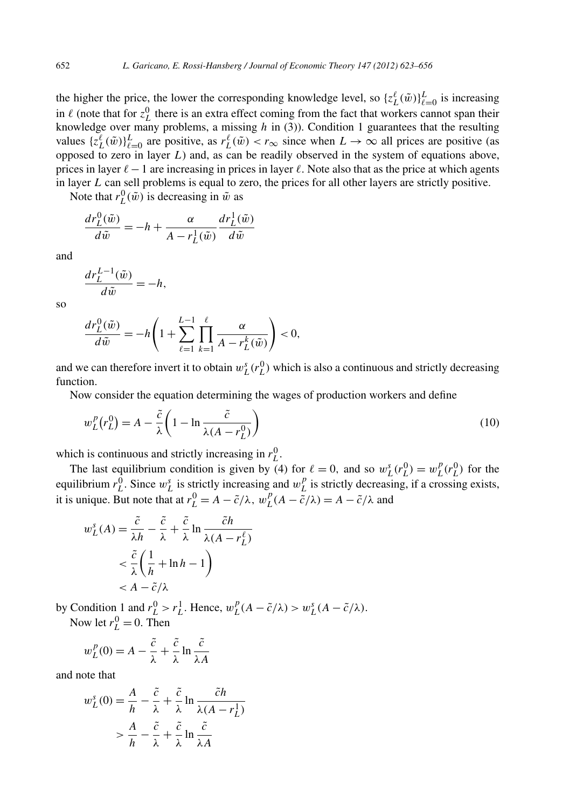the higher the price, the lower the corresponding knowledge level, so  $\{z_L^{\ell}(\tilde{w})\}_{\ell=0}^L$  is increasing in  $\ell$  (note that for  $z_L^0$  there is an extra effect coming from the fact that workers cannot span their knowledge over many problems, a missing *h* in (3)). Condition 1 guarantees that the resulting values  $\{z_L^{\ell}(\tilde{w})\}_{\ell=0}^L$  are positive, as  $r_L^{\ell}(\tilde{w}) < r_\infty$  since when  $L \to \infty$  all prices are positive (as opposed to zero in layer *L*) and, as can be readily observed in the system of equations above, prices in layer  $\ell - 1$  are increasing in prices in layer  $\ell$ . Note also that as the price at which agents in layer *L* can sell problems is equal to zero, the prices for all other layers are strictly positive.

Note that  $r_L^0(\tilde{w})$  is decreasing in  $\tilde{w}$  as

$$
\frac{dr_L^0(\tilde{w})}{d\tilde{w}} = -h + \frac{\alpha}{A - r_L^1(\tilde{w})} \frac{dr_L^1(\tilde{w})}{d\tilde{w}}
$$

and

$$
\frac{dr_L^{L-1}(\tilde{w})}{d\tilde{w}} = -h,
$$

so

$$
\frac{dr_L^0(\tilde{w})}{d\tilde{w}} = -h\left(1 + \sum_{\ell=1}^{L-1} \prod_{k=1}^{\ell} \frac{\alpha}{A - r_L^k(\tilde{w})}\right) < 0,
$$

and we can therefore invert it to obtain  $w<sub>L</sub><sup>s</sup>(r<sub>L</sub><sup>0</sup>)$  which is also a continuous and strictly decreasing function.

Now consider the equation determining the wages of production workers and define

$$
w_L^p(r_L^0) = A - \frac{\tilde{c}}{\lambda} \left( 1 - \ln \frac{\tilde{c}}{\lambda (A - r_L^0)} \right)
$$
(10)

which is continuous and strictly increasing in  $r<sub>L</sub><sup>0</sup>$ .

The last equilibrium condition is given by (4) for  $\ell = 0$ , and so  $w_L^s(r_L^0) = w_L^p(r_L^0)$  for the equilibrium  $r_L^0$ . Since  $w_L^s$  is strictly increasing and  $w_L^p$  is strictly decreasing, if a crossing exists, it is unique. But note that at  $r_L^0 = A - \tilde{c}/\lambda$ ,  $w_L^p(A - \tilde{c}/\lambda) = A - \tilde{c}/\lambda$  and

$$
w_L^s(A) = \frac{\tilde{c}}{\lambda h} - \frac{\tilde{c}}{\lambda} + \frac{\tilde{c}}{\lambda} \ln \frac{\tilde{c}h}{\lambda(A - r_L^{\ell})}
$$

$$
< \frac{\tilde{c}}{\lambda} \left( \frac{1}{h} + \ln h - 1 \right)
$$

$$
< A - \tilde{c}/\lambda
$$

by Condition 1 and  $r_L^0 > r_L^1$ . Hence,  $w_L^p(A - \tilde{c}/\lambda) > w_L^s(A - \tilde{c}/\lambda)$ . Now let  $r_L^0 = 0$ . Then

$$
w_L^P(0) = A - \frac{\tilde{c}}{\lambda} + \frac{\tilde{c}}{\lambda} \ln \frac{\tilde{c}}{\lambda A}
$$

and note that

$$
w_L^s(0) = \frac{A}{h} - \frac{\tilde{c}}{\lambda} + \frac{\tilde{c}}{\lambda} \ln \frac{\tilde{c}h}{\lambda(A - r_L^1)}
$$

$$
> \frac{A}{h} - \frac{\tilde{c}}{\lambda} + \frac{\tilde{c}}{\lambda} \ln \frac{\tilde{c}}{\lambda A}
$$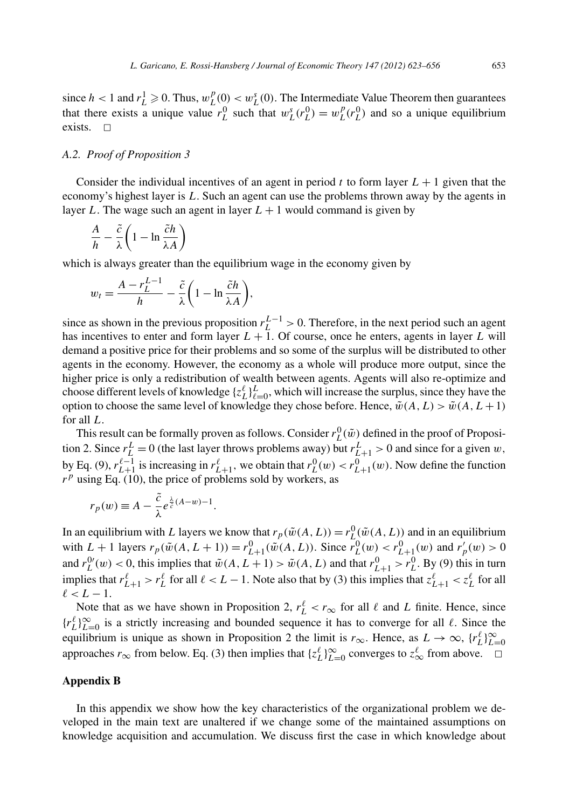since  $h < 1$  and  $r_L^1 \ge 0$ . Thus,  $w_L^p(0) < w_L^s(0)$ . The Intermediate Value Theorem then guarantees that there exists a unique value  $r_L^0$  such that  $w_L^s(r_L^0) = w_L^p(r_L^0)$  and so a unique equilibrium exists.  $\Box$ 

# *A.2. Proof of Proposition 3*

Consider the individual incentives of an agent in period *t* to form layer  $L + 1$  given that the economy's highest layer is *L*. Such an agent can use the problems thrown away by the agents in layer *L*. The wage such an agent in layer  $L + 1$  would command is given by

$$
\frac{A}{h} - \frac{\tilde{c}}{\lambda} \bigg( 1 - \ln \frac{\tilde{c}h}{\lambda A} \bigg)
$$

which is always greater than the equilibrium wage in the economy given by

$$
w_t = \frac{A - r_L^{L-1}}{h} - \frac{\tilde{c}}{\lambda} \bigg( 1 - \ln \frac{\tilde{c}h}{\lambda A} \bigg),
$$

since as shown in the previous proposition  $r_L^{L-1} > 0$ . Therefore, in the next period such an agent has incentives to enter and form layer *L* + 1*.* Of course, once he enters, agents in layer *L* will demand a positive price for their problems and so some of the surplus will be distributed to other agents in the economy. However, the economy as a whole will produce more output, since the higher price is only a redistribution of wealth between agents. Agents will also re-optimize and choose different levels of knowledge  $\{z_L^{\ell}\}_{\ell=0}^L$ , which will increase the surplus, since they have the option to choose the same level of knowledge they chose before. Hence,  $\tilde{w}(A, L) > \tilde{w}(A, L + 1)$ for all *L*.

This result can be formally proven as follows. Consider  $r_L^0(\tilde{w})$  defined in the proof of Proposition 2. Since  $r_L^L = 0$  (the last layer throws problems away) but  $r_{L+1}^L > 0$  and since for a given *w*, by Eq. (9),  $r_{L+1}^{\ell-1}$  is increasing in  $r_{L+1}^{\ell}$ , we obtain that  $r_L^0(w) < r_{L+1}^0(w)$ . Now define the function  $r<sup>p</sup>$  using Eq. (10), the price of problems sold by workers, as

$$
r_p(w) \equiv A - \frac{\tilde{c}}{\lambda} e^{\frac{\lambda}{\tilde{c}}(A-w)-1}.
$$

In an equilibrium with *L* layers we know that  $r_p(\tilde{w}(A, L)) = r_L^0(\tilde{w}(A, L))$  and in an equilibrium with  $L + 1$  layers  $r_p(\tilde{w}(A, L + 1)) = r_{L+1}^0(\tilde{w}(A, L))$ . Since  $r_L^0(w) < r_{L+1}^0(w)$  and  $r_p'(w) > 0$ and  $r_L^{0\prime}(w) < 0$ , this implies that  $\tilde{w}(A, L + 1) > \tilde{w}(A, L)$  and that  $r_{L+1}^0 > r_L^0$ . By (9) this in turn implies that  $r_{L+1}^{\ell} > r_L^{\ell}$  for all  $\ell < L - 1$ . Note also that by (3) this implies that  $z_{L+1}^{\ell} < z_L^{\ell}$  for all  $\ell < L - 1$ .

Note that as we have shown in Proposition 2,  $r_L^{\ell} < r_{\infty}$  for all  $\ell$  and  $L$  finite. Hence, since  ${r_L^{\ell}}_{L=0}^{\infty}$  is a strictly increasing and bounded sequence it has to converge for all  $\ell$ . Since the equilibrium is unique as shown in Proposition 2 the limit is  $r_{\infty}$ . Hence, as  $L \to \infty$ ,  $\{r_L^{\ell}\}_{L=0}^{\infty}$ approaches  $r_{\infty}$  from below. Eq. (3) then implies that  $\{z_L^{\ell}\}_{L=0}^{\infty}$  converges to  $z_{\infty}^{\ell}$  from above.

#### **Appendix B**

In this appendix we show how the key characteristics of the organizational problem we developed in the main text are unaltered if we change some of the maintained assumptions on knowledge acquisition and accumulation. We discuss first the case in which knowledge about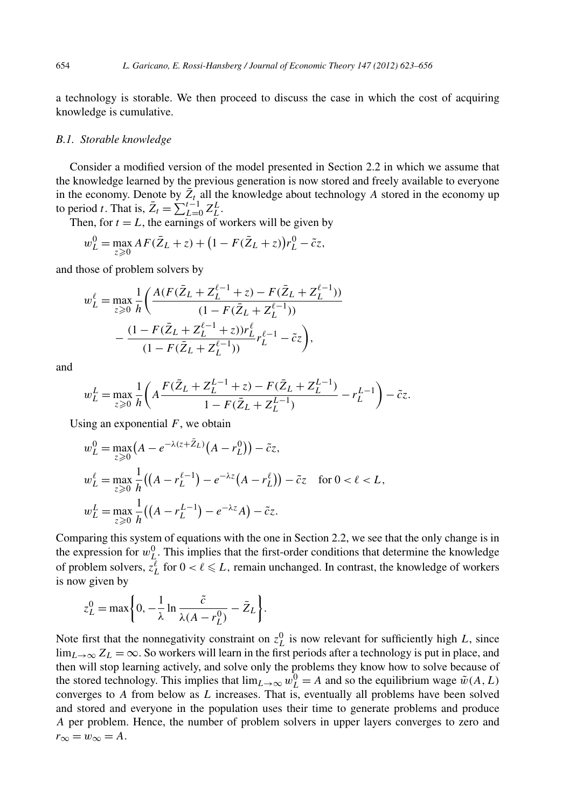a technology is storable. We then proceed to discuss the case in which the cost of acquiring knowledge is cumulative.

#### *B.1. Storable knowledge*

Consider a modified version of the model presented in Section 2.2 in which we assume that the knowledge learned by the previous generation is now stored and freely available to everyone in the economy. Denote by  $\bar{Z}_t$  all the knowledge about technology *A* stored in the economy up to period *t*. That is,  $\bar{Z}_t = \sum_{L=0}^{t-1} Z_L^L$ .

Then, for  $t = L$ , the earnings of workers will be given by

$$
w_L^0 = \max_{z \ge 0} AF(\bar{Z}_L + z) + (1 - F(\bar{Z}_L + z))r_L^0 - \tilde{c}z,
$$

and those of problem solvers by

$$
w_L^{\ell} = \max_{z \geq 0} \frac{1}{h} \left( \frac{A(F(\bar{Z}_L + Z_L^{\ell-1} + z) - F(\bar{Z}_L + Z_L^{\ell-1}))}{(1 - F(\bar{Z}_L + Z_L^{\ell-1}))} - \frac{(1 - F(\bar{Z}_L + Z_L^{\ell-1} + z))r_L^{\ell}}{(1 - F(\bar{Z}_L + Z_L^{\ell-1}))} r_L^{\ell-1} - \tilde{c}z \right),
$$

and

$$
w_L^L = \max_{z \ge 0} \frac{1}{h} \left( A \frac{F(\bar{Z}_L + Z_L^{L-1} + z) - F(\bar{Z}_L + Z_L^{L-1})}{1 - F(\bar{Z}_L + Z_L^{L-1})} - r_L^{L-1} \right) - \tilde{c}z.
$$

Using an exponential *F*, we obtain

$$
w_L^0 = \max_{z \ge 0} \left( A - e^{-\lambda(z + \bar{Z}_L)} \left( A - r_L^0 \right) \right) - \tilde{c}z,
$$
  
\n
$$
w_L^\ell = \max_{z \ge 0} \frac{1}{h} \left( \left( A - r_L^{\ell - 1} \right) - e^{-\lambda z} \left( A - r_L^{\ell} \right) \right) - \tilde{c}z \quad \text{for } 0 < \ell < L,
$$
  
\n
$$
w_L^L = \max_{z \ge 0} \frac{1}{h} \left( \left( A - r_L^{L - 1} \right) - e^{-\lambda z} A \right) - \tilde{c}z.
$$

Comparing this system of equations with the one in Section 2.2, we see that the only change is in the expression for  $w_L^0$ . This implies that the first-order conditions that determine the knowledge of problem solvers,  $z_L^{\ell}$  for  $0 < \ell \leq L$ , remain unchanged. In contrast, the knowledge of workers is now given by

$$
z_L^0 = \max\bigg\{0, -\frac{1}{\lambda} \ln \frac{\tilde{c}}{\lambda(A - r_L^0)} - \bar{Z}_L\bigg\}.
$$

Note first that the nonnegativity constraint on  $z<sub>L</sub><sup>0</sup>$  is now relevant for sufficiently high *L*, since  $\lim_{L\to\infty} Z_L = \infty$ . So workers will learn in the first periods after a technology is put in place, and then will stop learning actively, and solve only the problems they know how to solve because of the stored technology. This implies that  $\lim_{L\to\infty} w_L^0 = A$  and so the equilibrium wage  $\tilde{w}(A, L)$ converges to *A* from below as *L* increases. That is, eventually all problems have been solved and stored and everyone in the population uses their time to generate problems and produce *A* per problem. Hence, the number of problem solvers in upper layers converges to zero and  $r_{\infty} = w_{\infty} = A$ .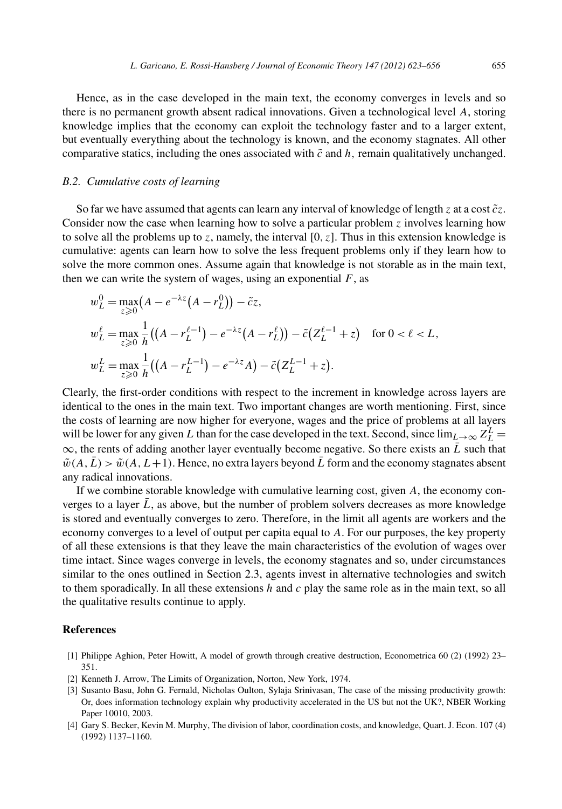Hence, as in the case developed in the main text, the economy converges in levels and so there is no permanent growth absent radical innovations. Given a technological level *A*, storing knowledge implies that the economy can exploit the technology faster and to a larger extent, but eventually everything about the technology is known, and the economy stagnates. All other comparative statics, including the ones associated with  $\tilde{c}$  and  $h$ , remain qualitatively unchanged.

## *B.2. Cumulative costs of learning*

So far we have assumed that agents can learn any interval of knowledge of length *z* at a cost  $\tilde{c}z$ . Consider now the case when learning how to solve a particular problem  $\zeta$  involves learning how to solve all the problems up to *z*, namely, the interval  $[0, z]$ . Thus in this extension knowledge is cumulative: agents can learn how to solve the less frequent problems only if they learn how to solve the more common ones. Assume again that knowledge is not storable as in the main text, then we can write the system of wages, using an exponential  $F$ , as

$$
w_L^0 = \max_{z \ge 0} (A - e^{-\lambda z} (A - r_L^0)) - \tilde{c}z,
$$
  
\n
$$
w_L^\ell = \max_{z \ge 0} \frac{1}{h} ((A - r_L^{\ell - 1}) - e^{-\lambda z} (A - r_L^\ell)) - \tilde{c} (Z_L^{\ell - 1} + z) \quad \text{for } 0 < \ell < L,
$$
  
\n
$$
w_L^L = \max_{z \ge 0} \frac{1}{h} ((A - r_L^{L - 1}) - e^{-\lambda z} A) - \tilde{c} (Z_L^{L - 1} + z).
$$

Clearly, the first-order conditions with respect to the increment in knowledge across layers are identical to the ones in the main text. Two important changes are worth mentioning. First, since the costs of learning are now higher for everyone, wages and the price of problems at all layers will be lower for any given *L* than for the case developed in the text. Second, since  $\lim_{L\to\infty} Z_L^L$  =  $\infty$ , the rents of adding another layer eventually become negative. So there exists an *L* such that  $\tilde{w}(A, L) > \tilde{w}(A, L+1)$ . Hence, no extra layers beyond L form and the economy stagnates absent any radical innovations.

If we combine storable knowledge with cumulative learning cost, given *A*, the economy converges to a layer  $L$ , as above, but the number of problem solvers decreases as more knowledge is stored and eventually converges to zero. Therefore, in the limit all agents are workers and the economy converges to a level of output per capita equal to *A*. For our purposes, the key property of all these extensions is that they leave the main characteristics of the evolution of wages over time intact. Since wages converge in levels, the economy stagnates and so, under circumstances similar to the ones outlined in Section 2.3, agents invest in alternative technologies and switch to them sporadically. In all these extensions *h* and *c* play the same role as in the main text, so all the qualitative results continue to apply.

#### **References**

- [1] Philippe Aghion, Peter Howitt, A model of growth through creative destruction, Econometrica 60 (2) (1992) 23– 351.
- [2] Kenneth J. Arrow, The Limits of Organization, Norton, New York, 1974.
- [3] Susanto Basu, John G. Fernald, Nicholas Oulton, Sylaja Srinivasan, The case of the missing productivity growth: Or, does information technology explain why productivity accelerated in the US but not the UK?, NBER Working Paper 10010, 2003.
- [4] Gary S. Becker, Kevin M. Murphy, The division of labor, coordination costs, and knowledge, Quart. J. Econ. 107 (4) (1992) 1137–1160.